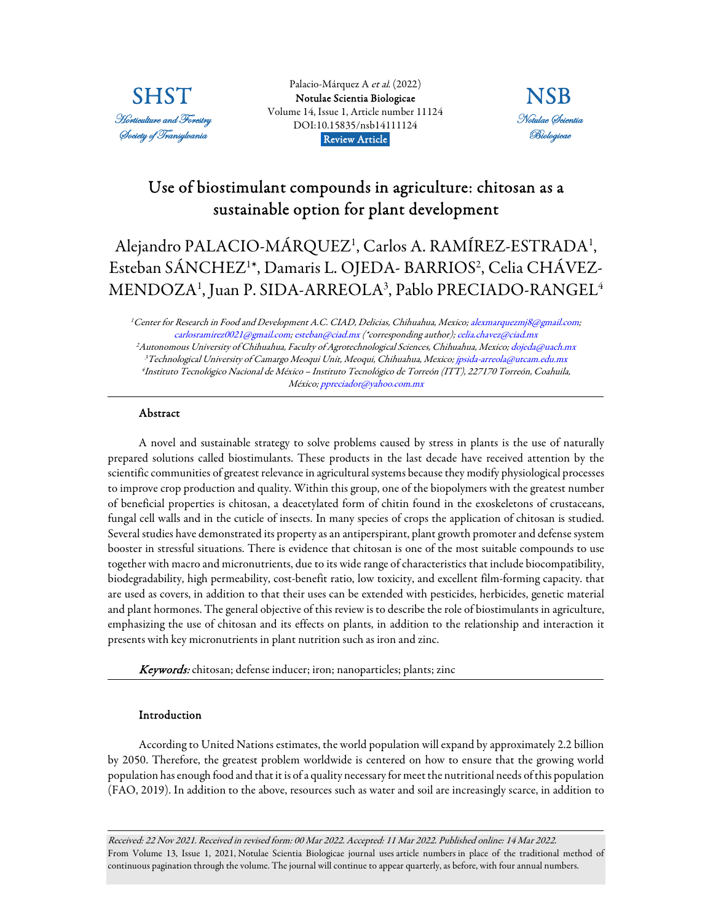

Palacio-Márquez A et al. (2022) [Notulae Scientia Biologicae](https://www.notulaebiologicae.ro/index.php/nsb/index)  Volume 14, Issue 1, Article number 11124 DOI:10.15835/nsb14111124 Review Article.



# Use of biostimulant compounds in agriculture: chitosan as a sustainable option for plant development

# Alejandro PALACIO-MÁRQUEZ<sup>1</sup>, Carlos A. RAMÍREZ-ESTRADA<sup>1</sup>, Esteban SÁNCHEZ<sup>1</sup>\*, Damaris L. OJEDA- BARRIOS<sup>2</sup>, Celia CHÁVEZ-MENDOZA<sup>1</sup> , Juan P. SIDA-ARREOLA<sup>3</sup> , Pablo PRECIADO-RANGEL<sup>4</sup>

<sup>1</sup>Center for Research in Food and Development A.C. CIAD, Delicias, Chihuahua, Mexico; alexmarquezmj8@gmail.com; carlosramirez0021@gmail.com; esteban@ciad.mx (\*corresponding author); celia.chavez@ciad.mx <sup>2</sup>Autonomous University of Chihuahua, Faculty of Agrotechnological Sciences, Chihuahua, Mexico; dojeda@uach.mx <sup>3</sup>Technological University of Camargo Meoqui Unit, Meoqui, Chihuahua, Mexico; jpsida-arreola@utcam.edu.mx 4 Instituto Tecnológico Nacional de México – Instituto Tecnológico de Torreón (ITT), 227170 Torreón, Coahuila, México; ppreciador@yahoo.com.mx

# Abstract

A novel and sustainable strategy to solve problems caused by stress in plants is the use of naturally prepared solutions called biostimulants. These products in the last decade have received attention by the scientific communities of greatest relevance in agricultural systems because they modify physiological processes to improve crop production and quality. Within this group, one of the biopolymers with the greatest number of beneficial properties is chitosan, a deacetylated form of chitin found in the exoskeletons of crustaceans, fungal cell walls and in the cuticle of insects. In many species of crops the application of chitosan is studied. Several studies have demonstrated its property as an antiperspirant, plant growth promoter and defense system booster in stressful situations. There is evidence that chitosan is one of the most suitable compounds to use together with macro and micronutrients, due to its wide range of characteristics that include biocompatibility, biodegradability, high permeability, cost-benefit ratio, low toxicity, and excellent film-forming capacity. that are used as covers, in addition to that their uses can be extended with pesticides, herbicides, genetic material and plant hormones. The general objective of this review is to describe the role of biostimulants in agriculture, emphasizing the use of chitosan and its effects on plants, in addition to the relationship and interaction it presents with key micronutrients in plant nutrition such as iron and zinc.

Keywords: chitosan; defense inducer; iron; nanoparticles; plants; zinc

# Introduction

According to United Nations estimates, the world population will expand by approximately 2.2 billion by 2050. Therefore, the greatest problem worldwide is centered on how to ensure that the growing world population has enough food and that it is of a quality necessary for meet the nutritional needs of this population (FAO, 2019). In addition to the above, resources such as water and soil are increasingly scarce, in addition to

Received: 22 Nov 2021. Received in revised form: 00 Mar 2022. Accepted: 11 Mar 2022. Published online: 14 Mar 2022. From Volume 13, Issue 1, 2021, Notulae Scientia Biologicae journal uses article numbers in place of the traditional method of continuous pagination through the volume. The journal will continue to appear quarterly, as before, with four annual numbers.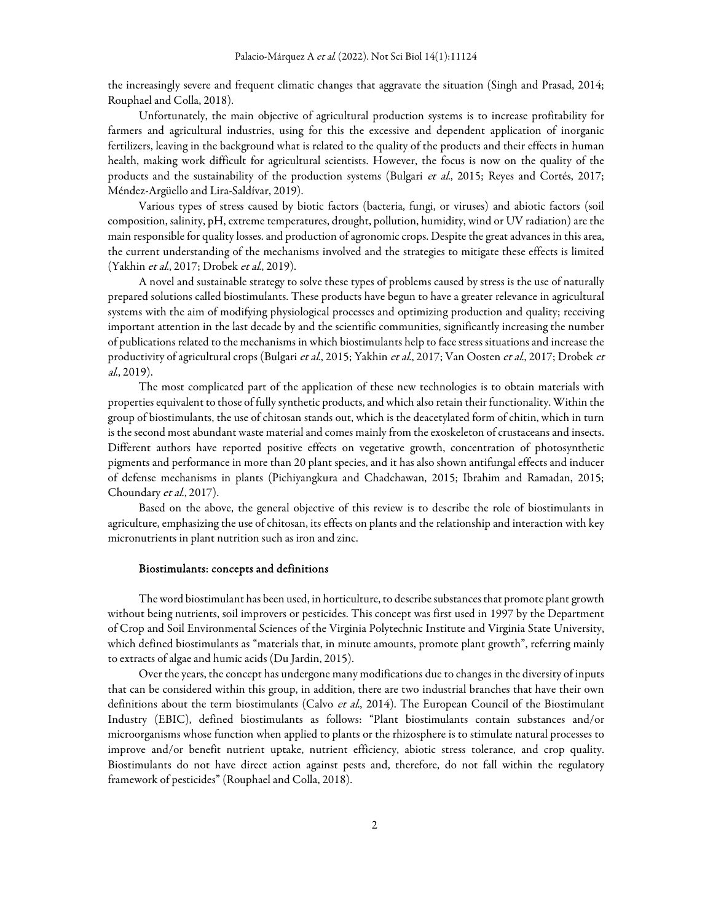the increasingly severe and frequent climatic changes that aggravate the situation (Singh and Prasad, 2014; Rouphael and Colla, 2018).

Unfortunately, the main objective of agricultural production systems is to increase profitability for farmers and agricultural industries, using for this the excessive and dependent application of inorganic fertilizers, leaving in the background what is related to the quality of the products and their effects in human health, making work difficult for agricultural scientists. However, the focus is now on the quality of the products and the sustainability of the production systems (Bulgari et al., 2015; Reyes and Cortés, 2017; Méndez-Argüello and Lira-Saldívar, 2019).

Various types of stress caused by biotic factors (bacteria, fungi, or viruses) and abiotic factors (soil composition, salinity, pH, extreme temperatures, drought, pollution, humidity, wind or UV radiation) are the main responsible for quality losses. and production of agronomic crops. Despite the great advances in this area, the current understanding of the mechanisms involved and the strategies to mitigate these effects is limited (Yakhin et al., 2017; Drobek et al., 2019).

A novel and sustainable strategy to solve these types of problems caused by stress is the use of naturally prepared solutions called biostimulants. These products have begun to have a greater relevance in agricultural systems with the aim of modifying physiological processes and optimizing production and quality; receiving important attention in the last decade by and the scientific communities, significantly increasing the number of publications related to the mechanisms in which biostimulants help to face stress situations and increase the productivity of agricultural crops (Bulgari et al., 2015; Yakhin et al., 2017; Van Oosten et al., 2017; Drobek et al., 2019).

The most complicated part of the application of these new technologies is to obtain materials with properties equivalent to those of fully synthetic products, and which also retain their functionality. Within the group of biostimulants, the use of chitosan stands out, which is the deacetylated form of chitin, which in turn is the second most abundant waste material and comes mainly from the exoskeleton of crustaceans and insects. Different authors have reported positive effects on vegetative growth, concentration of photosynthetic pigments and performance in more than 20 plant species, and it has also shown antifungal effects and inducer of defense mechanisms in plants (Pichiyangkura and Chadchawan, 2015; Ibrahim and Ramadan, 2015; Choundary et al., 2017).

Based on the above, the general objective of this review is to describe the role of biostimulants in agriculture, emphasizing the use of chitosan, its effects on plants and the relationship and interaction with key micronutrients in plant nutrition such as iron and zinc.

#### Biostimulants: concepts and definitions

The word biostimulant has been used, in horticulture, to describe substances that promote plant growth without being nutrients, soil improvers or pesticides. This concept was first used in 1997 by the Department of Crop and Soil Environmental Sciences of the Virginia Polytechnic Institute and Virginia State University, which defined biostimulants as "materials that, in minute amounts, promote plant growth", referring mainly to extracts of algae and humic acids (Du Jardin, 2015).

Over the years, the concept has undergone many modifications due to changes in the diversity of inputs that can be considered within this group, in addition, there are two industrial branches that have their own definitions about the term biostimulants (Calvo et al., 2014). The European Council of the Biostimulant Industry (EBIC), defined biostimulants as follows: "Plant biostimulants contain substances and/or microorganisms whose function when applied to plants or the rhizosphere is to stimulate natural processes to improve and/or benefit nutrient uptake, nutrient efficiency, abiotic stress tolerance, and crop quality. Biostimulants do not have direct action against pests and, therefore, do not fall within the regulatory framework of pesticides" (Rouphael and Colla, 2018).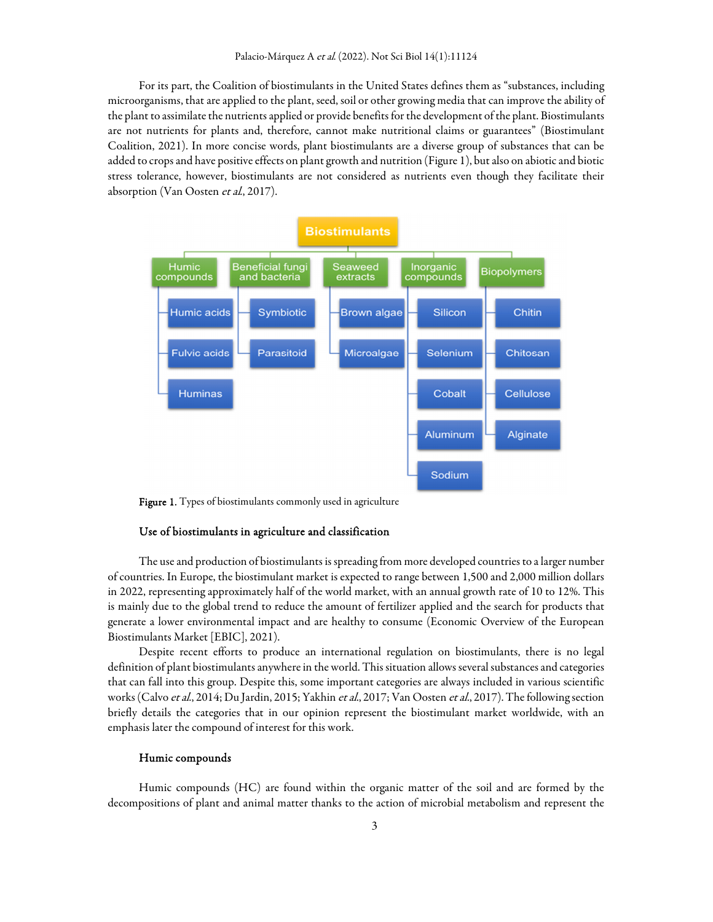For its part, the Coalition of biostimulants in the United States defines them as "substances, including microorganisms, that are applied to the plant, seed, soil or other growing media that can improve the ability of the plant to assimilate the nutrients applied or provide benefits for the development of the plant. Biostimulants are not nutrients for plants and, therefore, cannot make nutritional claims or guarantees" (Biostimulant Coalition, 2021). In more concise words, plant biostimulants are a diverse group of substances that can be added to crops and have positive effects on plant growth and nutrition (Figure 1), but also on abiotic and biotic stress tolerance, however, biostimulants are not considered as nutrients even though they facilitate their absorption (Van Oosten et al., 2017).



Figure 1. Types of biostimulants commonly used in agriculture

#### Use of biostimulants in agriculture and classification

The use and production of biostimulants is spreading from more developed countries to a larger number of countries. In Europe, the biostimulant market is expected to range between 1,500 and 2,000 million dollars in 2022, representing approximately half of the world market, with an annual growth rate of 10 to 12%. This is mainly due to the global trend to reduce the amount of fertilizer applied and the search for products that generate a lower environmental impact and are healthy to consume (Economic Overview of the European Biostimulants Market [EBIC], 2021).

Despite recent efforts to produce an international regulation on biostimulants, there is no legal definition of plant biostimulants anywhere in the world. This situation allows several substances and categories that can fall into this group. Despite this, some important categories are always included in various scientific works (Calvo et al., 2014; Du Jardin, 2015; Yakhin et al., 2017; Van Oosten et al., 2017). The following section briefly details the categories that in our opinion represent the biostimulant market worldwide, with an emphasis later the compound of interest for this work.

#### Humic compounds

Humic compounds (HC) are found within the organic matter of the soil and are formed by the decompositions of plant and animal matter thanks to the action of microbial metabolism and represent the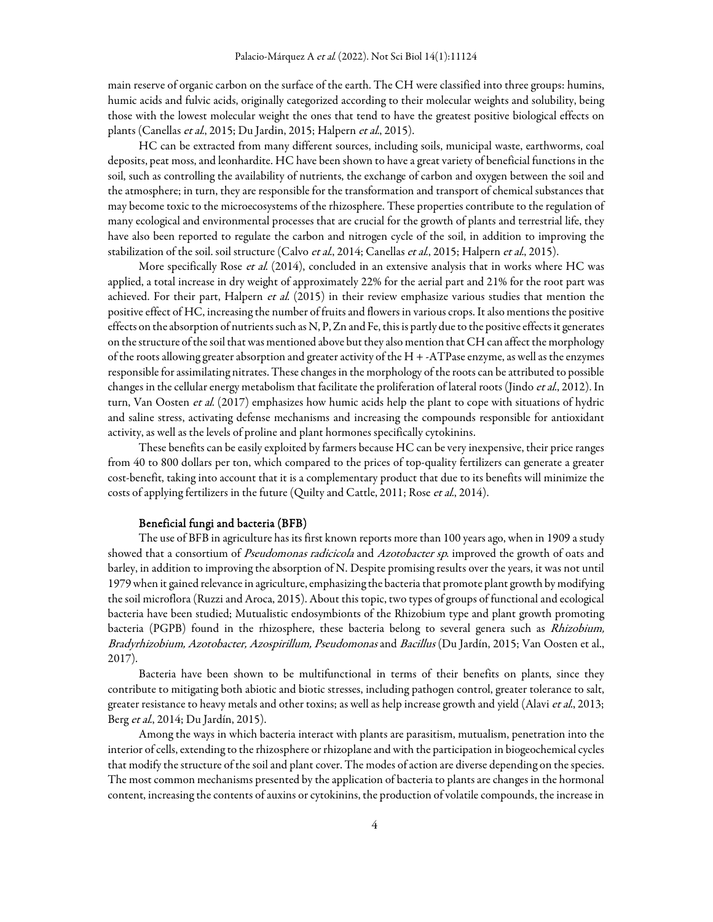main reserve of organic carbon on the surface of the earth. The CH were classified into three groups: humins, humic acids and fulvic acids, originally categorized according to their molecular weights and solubility, being those with the lowest molecular weight the ones that tend to have the greatest positive biological effects on plants (Canellas *et al.*, 2015; Du Jardin, 2015; Halpern *et al.*, 2015).

HC can be extracted from many different sources, including soils, municipal waste, earthworms, coal deposits, peat moss, and leonhardite. HC have been shown to have a great variety of beneficial functions in the soil, such as controlling the availability of nutrients, the exchange of carbon and oxygen between the soil and the atmosphere; in turn, they are responsible for the transformation and transport of chemical substances that may become toxic to the microecosystems of the rhizosphere. These properties contribute to the regulation of many ecological and environmental processes that are crucial for the growth of plants and terrestrial life, they have also been reported to regulate the carbon and nitrogen cycle of the soil, in addition to improving the stabilization of the soil. soil structure (Calvo *et al.*, 2014; Canellas *et al.*, 2015; Halpern *et al.*, 2015).

More specifically Rose et al. (2014), concluded in an extensive analysis that in works where HC was applied, a total increase in dry weight of approximately 22% for the aerial part and 21% for the root part was achieved. For their part, Halpern *et al.* (2015) in their review emphasize various studies that mention the positive effect of HC, increasing the number of fruits and flowers in various crops. It also mentions the positive effects on the absorption of nutrients such as N, P, Zn and Fe, this is partly due to the positive effects it generates on the structure of the soil that was mentioned above but they also mention that CH can affect the morphology of the roots allowing greater absorption and greater activity of the H + -ATPase enzyme, as well as the enzymes responsible for assimilating nitrates. These changes in the morphology of the roots can be attributed to possible changes in the cellular energy metabolism that facilitate the proliferation of lateral roots (Jindo et al., 2012). In turn, Van Oosten et al. (2017) emphasizes how humic acids help the plant to cope with situations of hydric and saline stress, activating defense mechanisms and increasing the compounds responsible for antioxidant activity, as well as the levels of proline and plant hormones specifically cytokinins.

These benefits can be easily exploited by farmers because HC can be very inexpensive, their price ranges from 40 to 800 dollars per ton, which compared to the prices of top-quality fertilizers can generate a greater cost-benefit, taking into account that it is a complementary product that due to its benefits will minimize the costs of applying fertilizers in the future (Quilty and Cattle, 2011; Rose et al., 2014).

#### Beneficial fungi and bacteria (BFB)

The use of BFB in agriculture has its first known reports more than 100 years ago, when in 1909 a study showed that a consortium of *Pseudomonas radicicola* and *Azotobacter sp.* improved the growth of oats and barley, in addition to improving the absorption of N. Despite promising results over the years, it was not until 1979 when it gained relevance in agriculture, emphasizing the bacteria that promote plant growth by modifying the soil microflora (Ruzzi and Aroca, 2015). About this topic, two types of groups of functional and ecological bacteria have been studied; Mutualistic endosymbionts of the Rhizobium type and plant growth promoting bacteria (PGPB) found in the rhizosphere, these bacteria belong to several genera such as Rhizobium, Bradyrhizobium, Azotobacter, Azospirillum, Pseudomonas and Bacillus (Du Jardín, 2015; Van Oosten et al., 2017).

Bacteria have been shown to be multifunctional in terms of their benefits on plants, since they contribute to mitigating both abiotic and biotic stresses, including pathogen control, greater tolerance to salt, greater resistance to heavy metals and other toxins; as well as help increase growth and yield (Alavi et al., 2013; Berg et al., 2014; Du Jardín, 2015).

Among the ways in which bacteria interact with plants are parasitism, mutualism, penetration into the interior of cells, extending to the rhizosphere or rhizoplane and with the participation in biogeochemical cycles that modify the structure of the soil and plant cover. The modes of action are diverse depending on the species. The most common mechanisms presented by the application of bacteria to plants are changes in the hormonal content, increasing the contents of auxins or cytokinins, the production of volatile compounds, the increase in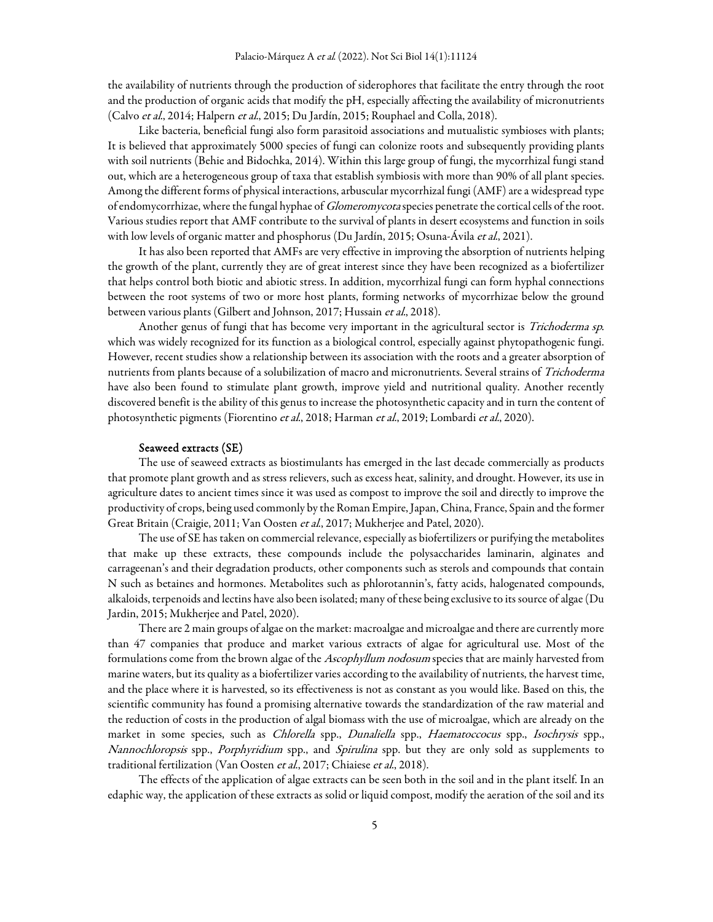the availability of nutrients through the production of siderophores that facilitate the entry through the root and the production of organic acids that modify the pH, especially affecting the availability of micronutrients (Calvo et al., 2014; Halpern et al., 2015; Du Jardín, 2015; Rouphael and Colla, 2018).

Like bacteria, beneficial fungi also form parasitoid associations and mutualistic symbioses with plants; It is believed that approximately 5000 species of fungi can colonize roots and subsequently providing plants with soil nutrients (Behie and Bidochka, 2014). Within this large group of fungi, the mycorrhizal fungi stand out, which are a heterogeneous group of taxa that establish symbiosis with more than 90% of all plant species. Among the different forms of physical interactions, arbuscular mycorrhizal fungi (AMF) are a widespread type of endomycorrhizae, where the fungal hyphae of *Glomeromycota* species penetrate the cortical cells of the root. Various studies report that AMF contribute to the survival of plants in desert ecosystems and function in soils with low levels of organic matter and phosphorus (Du Jardín, 2015; Osuna-Ávila et al., 2021).

It has also been reported that AMFs are very effective in improving the absorption of nutrients helping the growth of the plant, currently they are of great interest since they have been recognized as a biofertilizer that helps control both biotic and abiotic stress. In addition, mycorrhizal fungi can form hyphal connections between the root systems of two or more host plants, forming networks of mycorrhizae below the ground between various plants (Gilbert and Johnson, 2017; Hussain et al., 2018).

Another genus of fungi that has become very important in the agricultural sector is *Trichoderma sp.* which was widely recognized for its function as a biological control, especially against phytopathogenic fungi. However, recent studies show a relationship between its association with the roots and a greater absorption of nutrients from plants because of a solubilization of macro and micronutrients. Several strains of Trichoderma have also been found to stimulate plant growth, improve yield and nutritional quality. Another recently discovered benefit is the ability of this genus to increase the photosynthetic capacity and in turn the content of photosynthetic pigments (Fiorentino et al., 2018; Harman et al., 2019; Lombardi et al., 2020).

### Seaweed extracts (SE)

The use of seaweed extracts as biostimulants has emerged in the last decade commercially as products that promote plant growth and as stress relievers, such as excess heat, salinity, and drought. However, its use in agriculture dates to ancient times since it was used as compost to improve the soil and directly to improve the productivity of crops, being used commonly by the Roman Empire, Japan, China, France, Spain and the former Great Britain (Craigie, 2011; Van Oosten et al., 2017; Mukherjee and Patel, 2020).

The use of SE has taken on commercial relevance, especially as biofertilizers or purifying the metabolites that make up these extracts, these compounds include the polysaccharides laminarin, alginates and carrageenan's and their degradation products, other components such as sterols and compounds that contain N such as betaines and hormones. Metabolites such as phlorotannin's, fatty acids, halogenated compounds, alkaloids, terpenoids and lectins have also been isolated; many of these being exclusive to its source of algae (Du Jardin, 2015; Mukherjee and Patel, 2020).

There are 2 main groups of algae on the market: macroalgae and microalgae and there are currently more than 47 companies that produce and market various extracts of algae for agricultural use. Most of the formulations come from the brown algae of the Ascophyllum nodosum species that are mainly harvested from marine waters, but its quality as a biofertilizer varies according to the availability of nutrients, the harvest time, and the place where it is harvested, so its effectiveness is not as constant as you would like. Based on this, the scientific community has found a promising alternative towards the standardization of the raw material and the reduction of costs in the production of algal biomass with the use of microalgae, which are already on the market in some species, such as Chlorella spp., Dunaliella spp., Haematoccocus spp., Isochrysis spp., Nannochloropsis spp., Porphyridium spp., and Spirulina spp. but they are only sold as supplements to traditional fertilization (Van Oosten *et al.*, 2017; Chiaiese *et al.*, 2018).

The effects of the application of algae extracts can be seen both in the soil and in the plant itself. In an edaphic way, the application of these extracts as solid or liquid compost, modify the aeration of the soil and its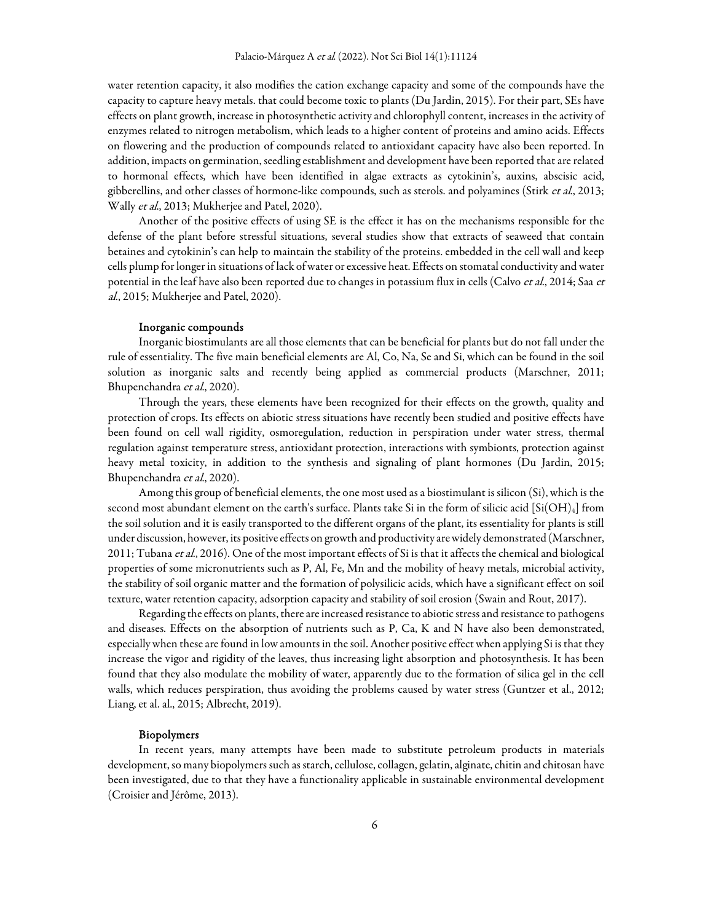water retention capacity, it also modifies the cation exchange capacity and some of the compounds have the capacity to capture heavy metals. that could become toxic to plants (Du Jardin, 2015). For their part, SEs have effects on plant growth, increase in photosynthetic activity and chlorophyll content, increases in the activity of enzymes related to nitrogen metabolism, which leads to a higher content of proteins and amino acids. Effects on flowering and the production of compounds related to antioxidant capacity have also been reported. In addition, impacts on germination, seedling establishment and development have been reported that are related to hormonal effects, which have been identified in algae extracts as cytokinin's, auxins, abscisic acid, gibberellins, and other classes of hormone-like compounds, such as sterols. and polyamines (Stirk et al., 2013; Wally et al., 2013; Mukherjee and Patel, 2020).

Another of the positive effects of using SE is the effect it has on the mechanisms responsible for the defense of the plant before stressful situations, several studies show that extracts of seaweed that contain betaines and cytokinin's can help to maintain the stability of the proteins. embedded in the cell wall and keep cells plump for longer in situations of lack of water or excessive heat. Effects on stomatal conductivity and water potential in the leaf have also been reported due to changes in potassium flux in cells (Calvo et al., 2014; Saa et al., 2015; Mukherjee and Patel, 2020).

#### Inorganic compounds

Inorganic biostimulants are all those elements that can be beneficial for plants but do not fall under the rule of essentiality. The five main beneficial elements are Al, Co, Na, Se and Si, which can be found in the soil solution as inorganic salts and recently being applied as commercial products (Marschner, 2011; Bhupenchandra et al., 2020).

Through the years, these elements have been recognized for their effects on the growth, quality and protection of crops. Its effects on abiotic stress situations have recently been studied and positive effects have been found on cell wall rigidity, osmoregulation, reduction in perspiration under water stress, thermal regulation against temperature stress, antioxidant protection, interactions with symbionts, protection against heavy metal toxicity, in addition to the synthesis and signaling of plant hormones (Du Jardin, 2015; Bhupenchandra et al., 2020).

Among this group of beneficial elements, the one most used as a biostimulant is silicon (Si), which is the second most abundant element on the earth's surface. Plants take Si in the form of silicic acid  $\text{[Si(OH)_4]}$  from the soil solution and it is easily transported to the different organs of the plant, its essentiality for plants is still under discussion, however, its positive effects on growth and productivity are widely demonstrated (Marschner, 2011; Tubana et al., 2016). One of the most important effects of Si is that it affects the chemical and biological properties of some micronutrients such as P, Al, Fe, Mn and the mobility of heavy metals, microbial activity, the stability of soil organic matter and the formation of polysilicic acids, which have a significant effect on soil texture, water retention capacity, adsorption capacity and stability of soil erosion (Swain and Rout, 2017).

Regarding the effects on plants, there are increased resistance to abiotic stress and resistance to pathogens and diseases. Effects on the absorption of nutrients such as P, Ca, K and N have also been demonstrated, especially when these are found in low amounts in the soil. Another positive effect when applying Si is that they increase the vigor and rigidity of the leaves, thus increasing light absorption and photosynthesis. It has been found that they also modulate the mobility of water, apparently due to the formation of silica gel in the cell walls, which reduces perspiration, thus avoiding the problems caused by water stress (Guntzer et al., 2012; Liang, et al. al., 2015; Albrecht, 2019).

#### Biopolymers

In recent years, many attempts have been made to substitute petroleum products in materials development, so many biopolymers such as starch, cellulose, collagen, gelatin, alginate, chitin and chitosan have been investigated, due to that they have a functionality applicable in sustainable environmental development (Croisier and Jérôme, 2013).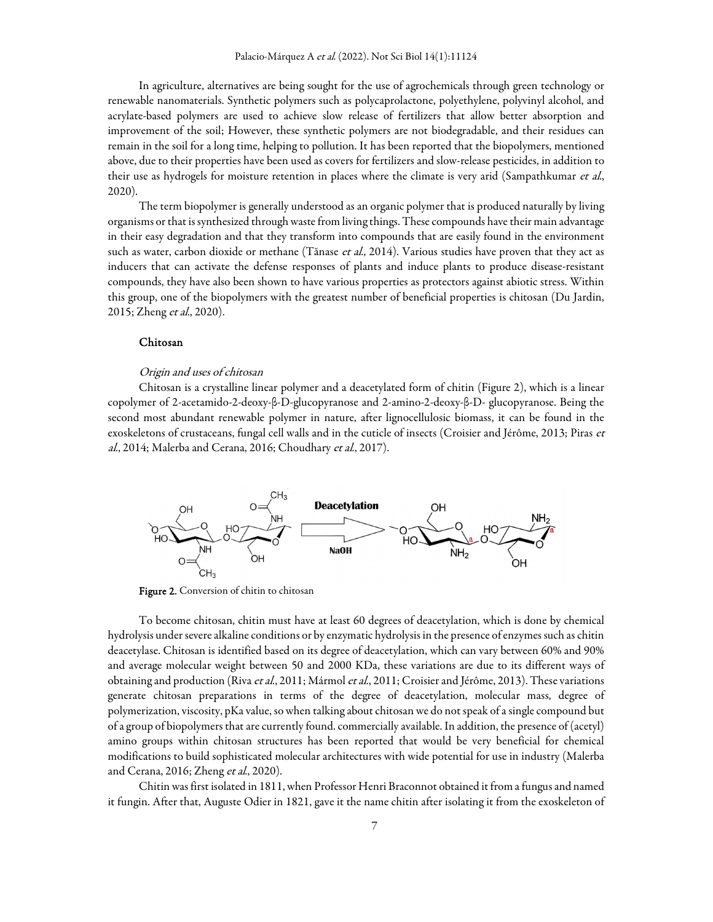In agriculture, alternatives are being sought for the use of agrochemicals through green technology or renewable nanomaterials. Synthetic polymers such as polycaprolactone, polyethylene, polyvinyl alcohol, and acrylate-based polymers are used to achieve slow release of fertilizers that allow better absorption and improvement of the soil; However, these synthetic polymers are not biodegradable, and their residues can remain in the soil for a long time, helping to pollution. It has been reported that the biopolymers, mentioned above, due to their properties have been used as covers for fertilizers and slow-release pesticides, in addition to their use as hydrogels for moisture retention in places where the climate is very arid (Sampathkumar *et al.*, 2020).

The term biopolymer is generally understood as an organic polymer that is produced naturally by living organisms or that is synthesized through waste from living things. These compounds have their main advantage in their easy degradation and that they transform into compounds that are easily found in the environment such as water, carbon dioxide or methane (Tănase *et al.*, 2014). Various studies have proven that they act as inducers that can activate the defense responses of plants and induce plants to produce disease-resistant compounds, they have also been shown to have various properties as protectors against abiotic stress. Within this group, one of the biopolymers with the greatest number of beneficial properties is chitosan (Du Jardin, 2015; Zheng et al., 2020).

### Chitosan

#### Origin and uses of chitosan

Chitosan is a crystalline linear polymer and a deacetylated form of chitin (Figure 2), which is a linear copolymer of 2-acetamido-2-deoxy-β-D-glucopyranose and 2-amino-2-deoxy-β-D- glucopyranose. Being the second most abundant renewable polymer in nature, after lignocellulosic biomass, it can be found in the exoskeletons of crustaceans, fungal cell walls and in the cuticle of insects (Croisier and Jérôme, 2013; Piras et al., 2014; Malerba and Cerana, 2016; Choudhary et al., 2017).



Figure 2. Conversion of chitin to chitosan

To become chitosan, chitin must have at least 60 degrees of deacetylation, which is done by chemical hydrolysis under severe alkaline conditions or by enzymatic hydrolysis in the presence of enzymes such as chitin deacetylase. Chitosan is identified based on its degree of deacetylation, which can vary between 60% and 90% and average molecular weight between 50 and 2000 KDa, these variations are due to its different ways of obtaining and production (Riva et al., 2011; Mármol et al., 2011; Croisier and Jérôme, 2013). These variations generate chitosan preparations in terms of the degree of deacetylation, molecular mass, degree of polymerization, viscosity, pKa value, so when talking about chitosan we do not speak of a single compound but of a group of biopolymers that are currently found. commercially available. In addition, the presence of (acetyl) amino groups within chitosan structures has been reported that would be very beneficial for chemical modifications to build sophisticated molecular architectures with wide potential for use in industry (Malerba and Cerana, 2016; Zheng *et al.*, 2020).

Chitin was first isolated in 1811, when Professor Henri Braconnot obtained it from a fungus and named it fungin. After that, Auguste Odier in 1821, gave it the name chitin after isolating it from the exoskeleton of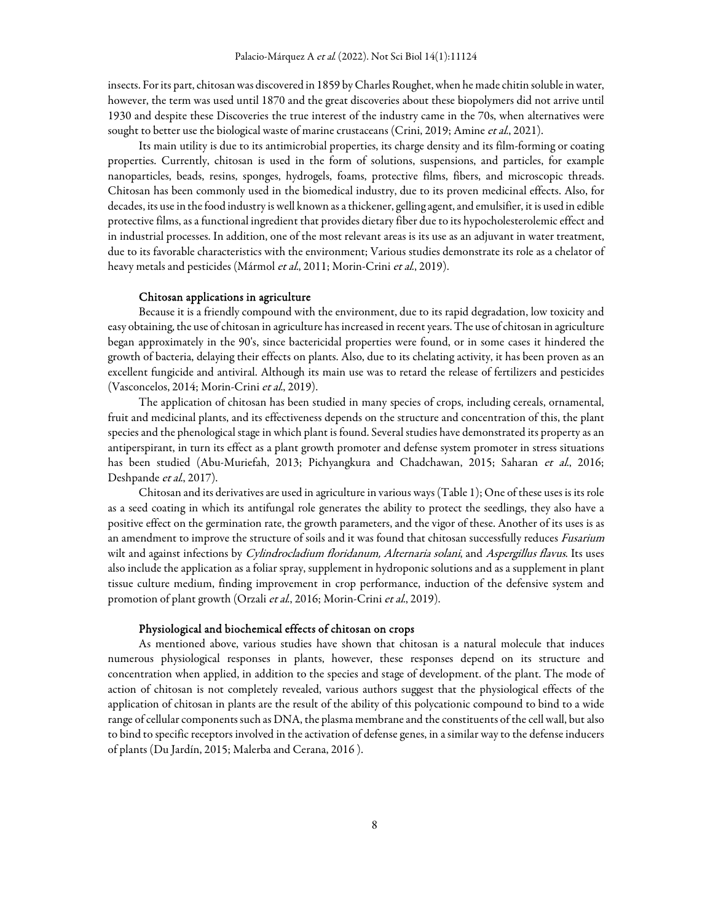insects. For its part, chitosan was discovered in 1859 by Charles Roughet, when he made chitin soluble in water, however, the term was used until 1870 and the great discoveries about these biopolymers did not arrive until 1930 and despite these Discoveries the true interest of the industry came in the 70s, when alternatives were sought to better use the biological waste of marine crustaceans (Crini, 2019; Amine et al., 2021).

Its main utility is due to its antimicrobial properties, its charge density and its film-forming or coating properties. Currently, chitosan is used in the form of solutions, suspensions, and particles, for example nanoparticles, beads, resins, sponges, hydrogels, foams, protective films, fibers, and microscopic threads. Chitosan has been commonly used in the biomedical industry, due to its proven medicinal effects. Also, for decades, its use in the food industry is well known as a thickener, gelling agent, and emulsifier, it is used in edible protective films, as a functional ingredient that provides dietary fiber due to its hypocholesterolemic effect and in industrial processes. In addition, one of the most relevant areas is its use as an adjuvant in water treatment, due to its favorable characteristics with the environment; Various studies demonstrate its role as a chelator of heavy metals and pesticides (Mármol et al., 2011; Morin-Crini et al., 2019).

#### Chitosan applications in agriculture

Because it is a friendly compound with the environment, due to its rapid degradation, low toxicity and easy obtaining, the use of chitosan in agriculture has increased in recent years. The use of chitosan in agriculture began approximately in the 90's, since bactericidal properties were found, or in some cases it hindered the growth of bacteria, delaying their effects on plants. Also, due to its chelating activity, it has been proven as an excellent fungicide and antiviral. Although its main use was to retard the release of fertilizers and pesticides (Vasconcelos, 2014; Morin-Crini et al., 2019).

The application of chitosan has been studied in many species of crops, including cereals, ornamental, fruit and medicinal plants, and its effectiveness depends on the structure and concentration of this, the plant species and the phenological stage in which plant is found. Several studies have demonstrated its property as an antiperspirant, in turn its effect as a plant growth promoter and defense system promoter in stress situations has been studied (Abu-Muriefah, 2013; Pichyangkura and Chadchawan, 2015; Saharan et al., 2016; Deshpande et al., 2017).

Chitosan and its derivatives are used in agriculture in various ways (Table 1); One of these uses is its role as a seed coating in which its antifungal role generates the ability to protect the seedlings, they also have a positive effect on the germination rate, the growth parameters, and the vigor of these. Another of its uses is as an amendment to improve the structure of soils and it was found that chitosan successfully reduces Fusarium wilt and against infections by Cylindrocladium floridanum, Alternaria solani, and Aspergillus flavus. Its uses also include the application as a foliar spray, supplement in hydroponic solutions and as a supplement in plant tissue culture medium, finding improvement in crop performance, induction of the defensive system and promotion of plant growth (Orzali et al., 2016; Morin-Crini et al., 2019).

## Physiological and biochemical effects of chitosan on crops

As mentioned above, various studies have shown that chitosan is a natural molecule that induces numerous physiological responses in plants, however, these responses depend on its structure and concentration when applied, in addition to the species and stage of development. of the plant. The mode of action of chitosan is not completely revealed, various authors suggest that the physiological effects of the application of chitosan in plants are the result of the ability of this polycationic compound to bind to a wide range of cellular components such as DNA, the plasma membrane and the constituents of the cell wall, but also to bind to specific receptors involved in the activation of defense genes, in a similar way to the defense inducers of plants (Du Jardín, 2015; Malerba and Cerana, 2016 ).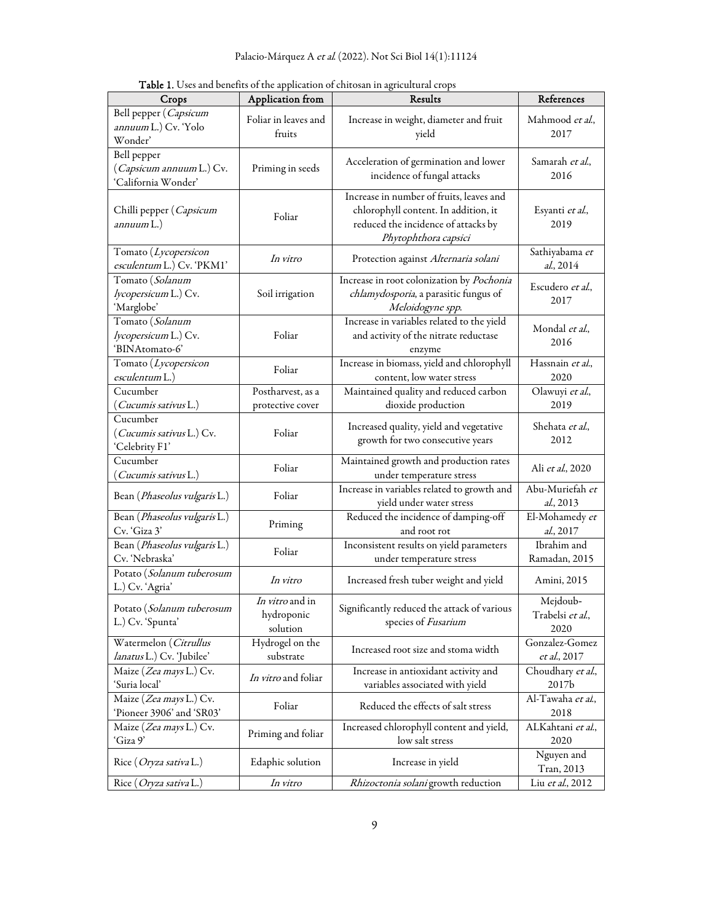| Crops                                                          | Application from                          | Results                                                                                                                                         | References                                   |
|----------------------------------------------------------------|-------------------------------------------|-------------------------------------------------------------------------------------------------------------------------------------------------|----------------------------------------------|
| Bell pepper (Capsicum<br>annuum L.) Cv. 'Yolo<br>Wonder'       | Foliar in leaves and<br>fruits            | Increase in weight, diameter and fruit<br>yield                                                                                                 | Mahmood et al.,<br>2017                      |
| Bell pepper<br>(Capsicum annuum L.) Cv.<br>'California Wonder' | Priming in seeds                          | Acceleration of germination and lower<br>incidence of fungal attacks                                                                            | Samarah et al.,<br>2016                      |
| Chilli pepper (Capsicum<br>annuum L.)                          | Foliar                                    | Increase in number of fruits, leaves and<br>chlorophyll content. In addition, it<br>reduced the incidence of attacks by<br>Phytophthora capsici | Esyanti et al.,<br>2019                      |
| Tomato (Lycopersicon<br>esculentum L.) Cv. 'PKM1'              | In vitro                                  | Protection against Alternaria solani                                                                                                            | Sathiyabama et<br>al., 2014                  |
| Tomato (Solanum<br>lycopersicum L.) Cv.<br>'Marglobe'          | Soil irrigation                           | Increase in root colonization by Pochonia<br>chlamydosporia, a parasitic fungus of<br>Meloidogyne spp.                                          | Escudero et al.,<br>2017                     |
| Tomato (Solanum<br>lycopersicum L.) Cv.<br>'BINAtomato-6'      | Foliar                                    | Increase in variables related to the yield<br>and activity of the nitrate reductase<br>enzyme                                                   | Mondal et al.,<br>2016                       |
| Tomato (Lycopersicon<br>esculentum L.)                         | Foliar                                    | Increase in biomass, yield and chlorophyll<br>content, low water stress                                                                         | Hassnain et al.,<br>2020                     |
| Cucumber<br>(Cucumis sativus L.)                               | Postharvest, as a<br>protective cover     | Maintained quality and reduced carbon<br>dioxide production                                                                                     | Olawuyi et al.,<br>2019                      |
| Cucumber<br>(Cucumis sativus L.) Cv.<br>'Celebrity F1'         | Foliar                                    | Increased quality, yield and vegetative<br>growth for two consecutive years                                                                     | Shehata et al.,<br>2012                      |
| Cucumber<br>( <i>Cucumis sativus</i> L.)                       | Foliar                                    | Maintained growth and production rates<br>under temperature stress                                                                              | Ali et al., 2020                             |
| Bean (Phaseolus vulgaris L.)                                   | Foliar                                    | Increase in variables related to growth and<br>yield under water stress                                                                         | Abu-Muriefah et<br>al., 2013                 |
| Bean (Phaseolus vulgaris L.)<br>Cv. 'Giza 3'                   | Priming                                   | Reduced the incidence of damping-off<br>and root rot                                                                                            | El-Mohamedy et<br>al., 2017                  |
| Bean (Phaseolus vulgaris L.)<br>Cv. 'Nebraska'                 | Foliar                                    | Inconsistent results on yield parameters<br>under temperature stress                                                                            | Ibrahim and<br>Ramadan, 2015                 |
| Potato (Solanum tuberosum<br>L.) Cv. 'Agria'                   | In vitro                                  | Increased fresh tuber weight and yield                                                                                                          | Amini, 2015                                  |
| Potato (Solanum tuberosum<br>L.) Cv. 'Spunta'                  | In vitro and in<br>hydroponic<br>solution | Significantly reduced the attack of various<br>species of Fusarium                                                                              | Mejdoub-<br>Trabelsi <i>et al</i> .,<br>2020 |
| Watermelon (Citrullus<br>lanatus L.) Cv. 'Jubilee'             | Hydrogel on the<br>substrate              | Increased root size and stoma width                                                                                                             | Gonzalez-Gomez<br>et al., 2017               |
| Maize (Zea mays L.) Cv.<br>ʻSuria local'                       | In vitro and foliar                       | Increase in antioxidant activity and<br>variables associated with yield                                                                         | Choudhary et al.,<br>2017b                   |
| Maize (Zea mays L.) Cv.<br>'Pioneer 3906' and 'SR03'           | Foliar                                    | Reduced the effects of salt stress                                                                                                              | Al-Tawaha <i>et al.</i> ,<br>2018            |
| Maize ( <i>Zea mays</i> L.) Cv.<br>'Giza 9'                    | Priming and foliar                        | Increased chlorophyll content and yield,<br>low salt stress                                                                                     | ALKahtani et al.,<br>2020                    |
| Rice (Oryza sativa L.)                                         | Edaphic solution                          | Increase in yield                                                                                                                               | Nguyen and<br>Tran, 2013                     |
| Rice ( <i>Oryza sativa</i> L.)                                 | In vitro                                  | Rhizoctonia solani growth reduction                                                                                                             | Liu <i>et al.</i> , 2012                     |

Table 1. Uses and benefits of the application of chitosan in agricultural crops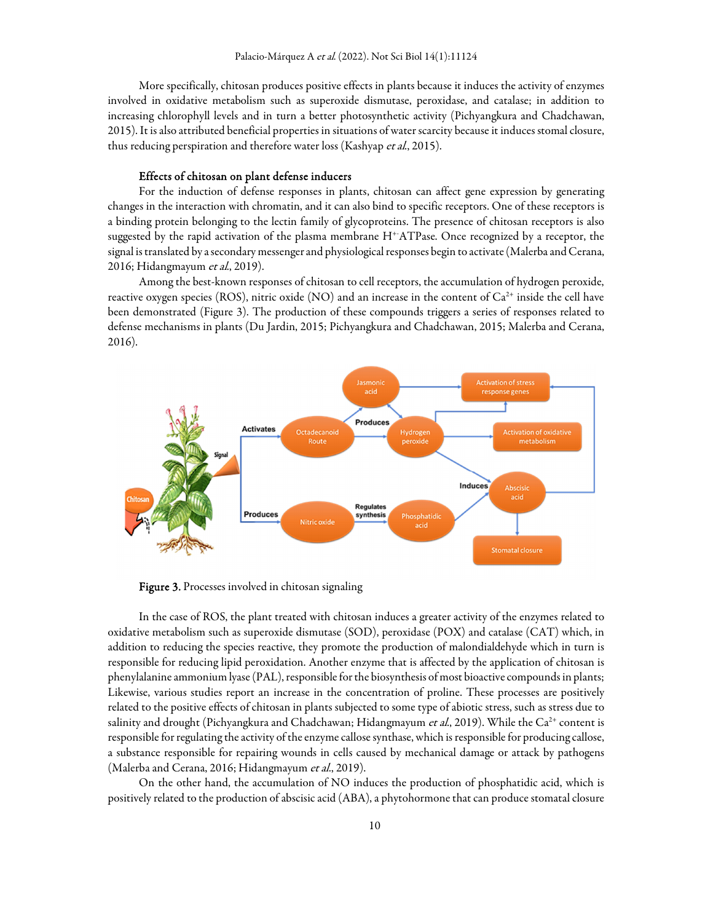More specifically, chitosan produces positive effects in plants because it induces the activity of enzymes involved in oxidative metabolism such as superoxide dismutase, peroxidase, and catalase; in addition to increasing chlorophyll levels and in turn a better photosynthetic activity (Pichyangkura and Chadchawan, 2015). It is also attributed beneficial properties in situations of water scarcity because it induces stomal closure, thus reducing perspiration and therefore water loss (Kashyap et al., 2015).

#### Effects of chitosan on plant defense inducers

For the induction of defense responses in plants, chitosan can affect gene expression by generating changes in the interaction with chromatin, and it can also bind to specific receptors. One of these receptors is a binding protein belonging to the lectin family of glycoproteins. The presence of chitosan receptors is also suggested by the rapid activation of the plasma membrane H<sup>+</sup>ATPase. Once recognized by a receptor, the signal is translated by a secondary messenger and physiological responses begin to activate (Malerba and Cerana, 2016; Hidangmayum et al., 2019).

Among the best-known responses of chitosan to cell receptors, the accumulation of hydrogen peroxide, reactive oxygen species (ROS), nitric oxide (NO) and an increase in the content of  $Ca^{2+}$  inside the cell have been demonstrated (Figure 3). The production of these compounds triggers a series of responses related to defense mechanisms in plants (Du Jardin, 2015; Pichyangkura and Chadchawan, 2015; Malerba and Cerana, 2016).



Figure 3. Processes involved in chitosan signaling

In the case of ROS, the plant treated with chitosan induces a greater activity of the enzymes related to oxidative metabolism such as superoxide dismutase (SOD), peroxidase (POX) and catalase (CAT) which, in addition to reducing the species reactive, they promote the production of malondialdehyde which in turn is responsible for reducing lipid peroxidation. Another enzyme that is affected by the application of chitosan is phenylalanine ammonium lyase (PAL), responsible for the biosynthesis of most bioactive compounds in plants; Likewise, various studies report an increase in the concentration of proline. These processes are positively related to the positive effects of chitosan in plants subjected to some type of abiotic stress, such as stress due to salinity and drought (Pichyangkura and Chadchawan; Hidangmayum et al., 2019). While the Ca<sup>2+</sup> content is responsible for regulating the activity of the enzyme callose synthase, which is responsible for producing callose, a substance responsible for repairing wounds in cells caused by mechanical damage or attack by pathogens (Malerba and Cerana, 2016; Hidangmayum et al., 2019).

On the other hand, the accumulation of NO induces the production of phosphatidic acid, which is positively related to the production of abscisic acid (ABA), a phytohormone that can produce stomatal closure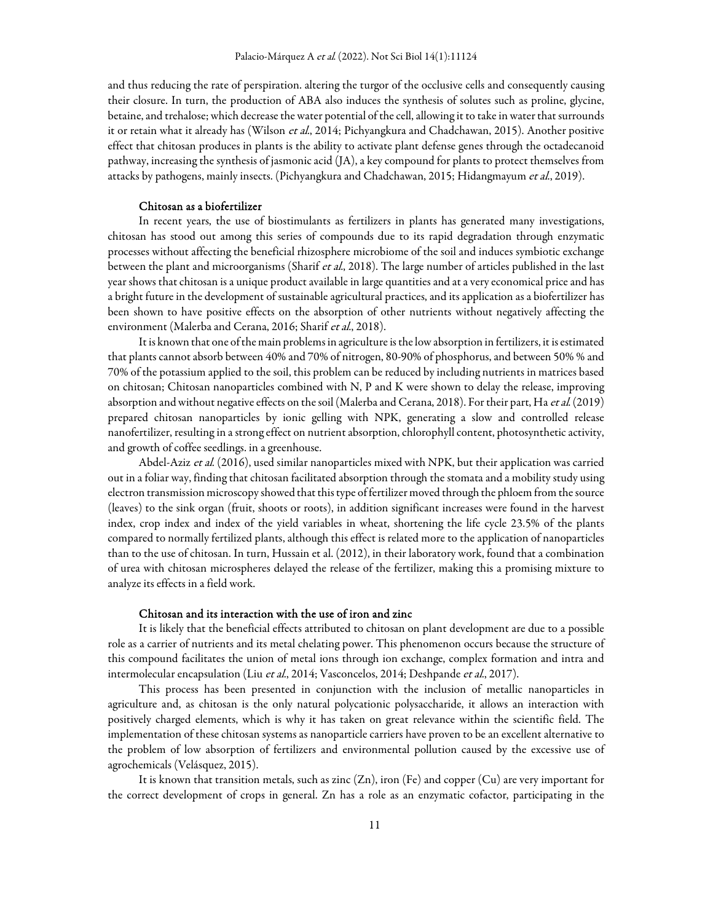and thus reducing the rate of perspiration. altering the turgor of the occlusive cells and consequently causing their closure. In turn, the production of ABA also induces the synthesis of solutes such as proline, glycine, betaine, and trehalose; which decrease the water potential of the cell, allowing it to take in water that surrounds it or retain what it already has (Wilson et al., 2014; Pichyangkura and Chadchawan, 2015). Another positive effect that chitosan produces in plants is the ability to activate plant defense genes through the octadecanoid pathway, increasing the synthesis of jasmonic acid (JA), a key compound for plants to protect themselves from attacks by pathogens, mainly insects. (Pichyangkura and Chadchawan, 2015; Hidangmayum et al., 2019).

#### Chitosan as a biofertilizer

In recent years, the use of biostimulants as fertilizers in plants has generated many investigations, chitosan has stood out among this series of compounds due to its rapid degradation through enzymatic processes without affecting the beneficial rhizosphere microbiome of the soil and induces symbiotic exchange between the plant and microorganisms (Sharif *et al.*, 2018). The large number of articles published in the last year shows that chitosan is a unique product available in large quantities and at a very economical price and has a bright future in the development of sustainable agricultural practices, and its application as a biofertilizer has been shown to have positive effects on the absorption of other nutrients without negatively affecting the environment (Malerba and Cerana, 2016; Sharif et al., 2018).

It is known that one of the main problems in agriculture is the low absorption in fertilizers, it is estimated that plants cannot absorb between 40% and 70% of nitrogen, 80-90% of phosphorus, and between 50% % and 70% of the potassium applied to the soil, this problem can be reduced by including nutrients in matrices based on chitosan; Chitosan nanoparticles combined with N, P and K were shown to delay the release, improving absorption and without negative effects on the soil (Malerba and Cerana, 2018). For their part, Ha et al. (2019) prepared chitosan nanoparticles by ionic gelling with NPK, generating a slow and controlled release nanofertilizer, resulting in a strong effect on nutrient absorption, chlorophyll content, photosynthetic activity, and growth of coffee seedlings. in a greenhouse.

Abdel-Aziz et al. (2016), used similar nanoparticles mixed with NPK, but their application was carried out in a foliar way, finding that chitosan facilitated absorption through the stomata and a mobility study using electron transmission microscopy showed that this type of fertilizer moved through the phloem from the source (leaves) to the sink organ (fruit, shoots or roots), in addition significant increases were found in the harvest index, crop index and index of the yield variables in wheat, shortening the life cycle 23.5% of the plants compared to normally fertilized plants, although this effect is related more to the application of nanoparticles than to the use of chitosan. In turn, Hussain et al. (2012), in their laboratory work, found that a combination of urea with chitosan microspheres delayed the release of the fertilizer, making this a promising mixture to analyze its effects in a field work.

#### Chitosan and its interaction with the use of iron and zinc

It is likely that the beneficial effects attributed to chitosan on plant development are due to a possible role as a carrier of nutrients and its metal chelating power. This phenomenon occurs because the structure of this compound facilitates the union of metal ions through ion exchange, complex formation and intra and intermolecular encapsulation (Liu et al., 2014; Vasconcelos, 2014; Deshpande et al., 2017).

This process has been presented in conjunction with the inclusion of metallic nanoparticles in agriculture and, as chitosan is the only natural polycationic polysaccharide, it allows an interaction with positively charged elements, which is why it has taken on great relevance within the scientific field. The implementation of these chitosan systems as nanoparticle carriers have proven to be an excellent alternative to the problem of low absorption of fertilizers and environmental pollution caused by the excessive use of agrochemicals (Velásquez, 2015).

It is known that transition metals, such as zinc (Zn), iron (Fe) and copper (Cu) are very important for the correct development of crops in general. Zn has a role as an enzymatic cofactor, participating in the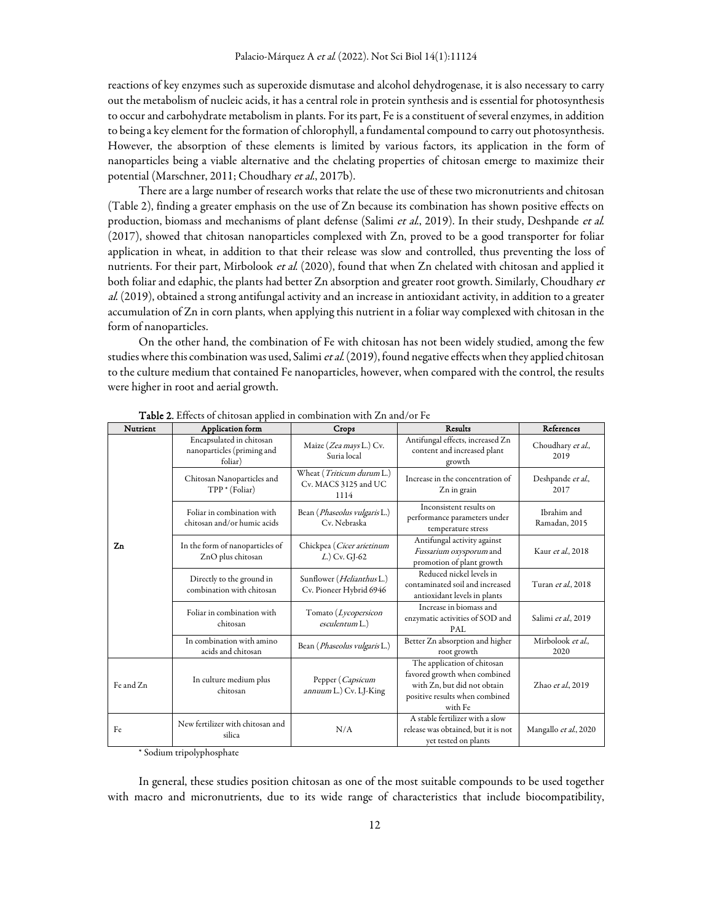reactions of key enzymes such as superoxide dismutase and alcohol dehydrogenase, it is also necessary to carry out the metabolism of nucleic acids, it has a central role in protein synthesis and is essential for photosynthesis to occur and carbohydrate metabolism in plants. For its part, Fe is a constituent of several enzymes, in addition to being a key element for the formation of chlorophyll, a fundamental compound to carry out photosynthesis. However, the absorption of these elements is limited by various factors, its application in the form of nanoparticles being a viable alternative and the chelating properties of chitosan emerge to maximize their potential (Marschner, 2011; Choudhary et al., 2017b).

There are a large number of research works that relate the use of these two micronutrients and chitosan (Table 2), finding a greater emphasis on the use of Zn because its combination has shown positive effects on production, biomass and mechanisms of plant defense (Salimi et al., 2019). In their study, Deshpande et al. (2017), showed that chitosan nanoparticles complexed with Zn, proved to be a good transporter for foliar application in wheat, in addition to that their release was slow and controlled, thus preventing the loss of nutrients. For their part, Mirbolook et al. (2020), found that when Zn chelated with chitosan and applied it both foliar and edaphic, the plants had better Zn absorption and greater root growth. Similarly, Choudhary et al. (2019), obtained a strong antifungal activity and an increase in antioxidant activity, in addition to a greater accumulation of Zn in corn plants, when applying this nutrient in a foliar way complexed with chitosan in the form of nanoparticles.

On the other hand, the combination of Fe with chitosan has not been widely studied, among the few studies where this combination was used, Salimi et al. (2019), found negative effects when they applied chitosan to the culture medium that contained Fe nanoparticles, however, when compared with the control, the results were higher in root and aerial growth.

| Nutrient  | Application form                                                  | Crops                                                     | Results                                                                                                                                 | References                   |
|-----------|-------------------------------------------------------------------|-----------------------------------------------------------|-----------------------------------------------------------------------------------------------------------------------------------------|------------------------------|
| Zn        | Encapsulated in chitosan<br>nanoparticles (priming and<br>foliar) | Maize (Zea mays L.) Cv.<br>Suria local                    | Antifungal effects, increased Zn<br>content and increased plant<br>growth                                                               | Choudhary et al.,<br>2019    |
|           | Chitosan Nanoparticles and<br>TPP * (Foliar)                      | Wheat (Triticum durum L.)<br>Cv. MACS 3125 and UC<br>1114 | Increase in the concentration of<br>Zn in grain                                                                                         | Deshpande et al.,<br>2017    |
|           | Foliar in combination with<br>chitosan and/or humic acids         | Bean ( <i>Phaseolus vulgaris</i> L.)<br>Cv. Nebraska      | Inconsistent results on<br>performance parameters under<br>temperature stress                                                           | Ibrahim and<br>Ramadan, 2015 |
|           | In the form of nanoparticles of<br>ZnO plus chitosan              | Chickpea (Cicer arietinum<br>$(L)$ Cv. GJ-62              | Antifungal activity against<br>Fussarium oxysporum and<br>promotion of plant growth                                                     | Kaur et al., 2018            |
|           | Directly to the ground in<br>combination with chitosan            | Sunflower (Helianthus L.)<br>Cv. Pioneer Hybrid 6946      | Reduced nickel levels in<br>contaminated soil and increased<br>antioxidant levels in plants                                             | Turan <i>et al.</i> , 2018   |
|           | Foliar in combination with<br>chitosan                            | Tomato (Lycopersicon<br>esculentum L.)                    | Increase in biomass and<br>enzymatic activities of SOD and<br>PAL                                                                       | Salimi et al., 2019          |
|           | In combination with amino<br>acids and chitosan                   | Bean (Phaseolus vulgaris L.)                              | Better Zn absorption and higher<br>root growth                                                                                          | Mirbolook et al.,<br>2020    |
| Fe and Zn | In culture medium plus<br>chitosan                                | Pepper (Capsicum<br>annuum L.) Cv. LJ-King                | The application of chitosan<br>favored growth when combined<br>with Zn, but did not obtain<br>positive results when combined<br>with Fe | Zhao et al., 2019            |
| Fe        | New fertilizer with chitosan and<br>silica                        | N/A                                                       | A stable fertilizer with a slow<br>release was obtained, but it is not<br>yet tested on plants                                          | Mangallo et al., 2020        |

Table 2. Effects of chitosan applied in combination with Zn and/or Fe

\* Sodium tripolyphosphate

In general, these studies position chitosan as one of the most suitable compounds to be used together with macro and micronutrients, due to its wide range of characteristics that include biocompatibility,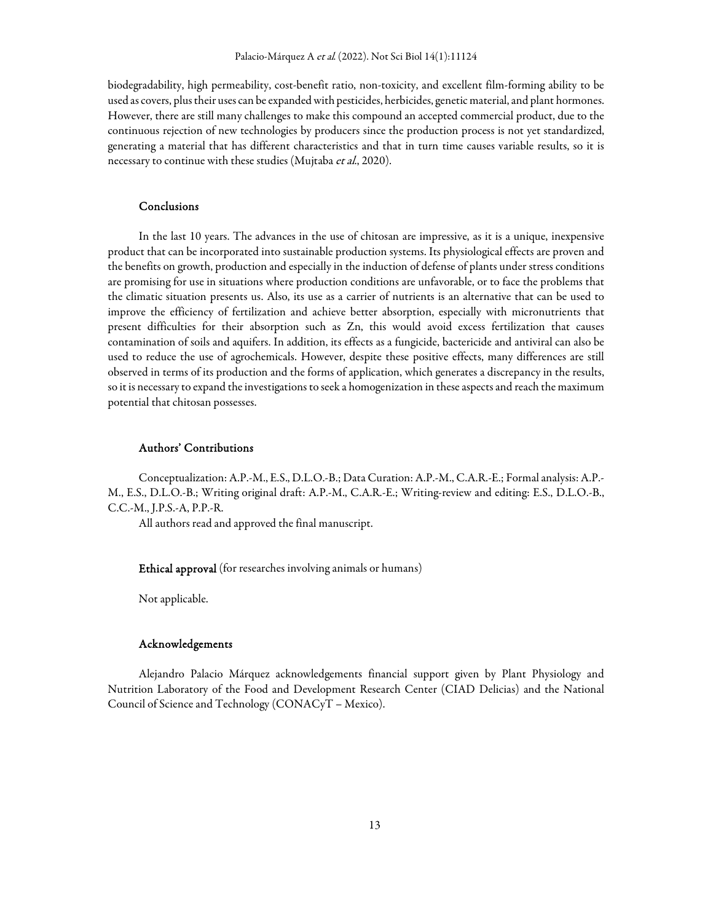biodegradability, high permeability, cost-benefit ratio, non-toxicity, and excellent film-forming ability to be used as covers, plus their uses can be expanded with pesticides, herbicides, genetic material, and plant hormones. However, there are still many challenges to make this compound an accepted commercial product, due to the continuous rejection of new technologies by producers since the production process is not yet standardized, generating a material that has different characteristics and that in turn time causes variable results, so it is necessary to continue with these studies (Mujtaba et al., 2020).

#### Conclusions

In the last 10 years. The advances in the use of chitosan are impressive, as it is a unique, inexpensive product that can be incorporated into sustainable production systems. Its physiological effects are proven and the benefits on growth, production and especially in the induction of defense of plants under stress conditions are promising for use in situations where production conditions are unfavorable, or to face the problems that the climatic situation presents us. Also, its use as a carrier of nutrients is an alternative that can be used to improve the efficiency of fertilization and achieve better absorption, especially with micronutrients that present difficulties for their absorption such as Zn, this would avoid excess fertilization that causes contamination of soils and aquifers. In addition, its effects as a fungicide, bactericide and antiviral can also be used to reduce the use of agrochemicals. However, despite these positive effects, many differences are still observed in terms of its production and the forms of application, which generates a discrepancy in the results, so it is necessary to expand the investigations to seek a homogenization in these aspects and reach the maximum potential that chitosan possesses.

# Authors' Contributions

Conceptualization: A.P.-M., E.S., D.L.O.-B.; Data Curation: A.P.-M., C.A.R.-E.; Formal analysis: A.P.- M., E.S., D.L.O.-B.; Writing original draft: A.P.-M., C.A.R.-E.; Writing-review and editing: E.S., D.L.O.-B., C.C.-M., J.P.S.-A, P.P.-R.

All authors read and approved the final manuscript.

Ethical approval (for researches involving animals or humans)

Not applicable.

#### Acknowledgements

Alejandro Palacio Márquez acknowledgements financial support given by Plant Physiology and Nutrition Laboratory of the Food and Development Research Center (CIAD Delicias) and the National Council of Science and Technology (CONACyT – Mexico).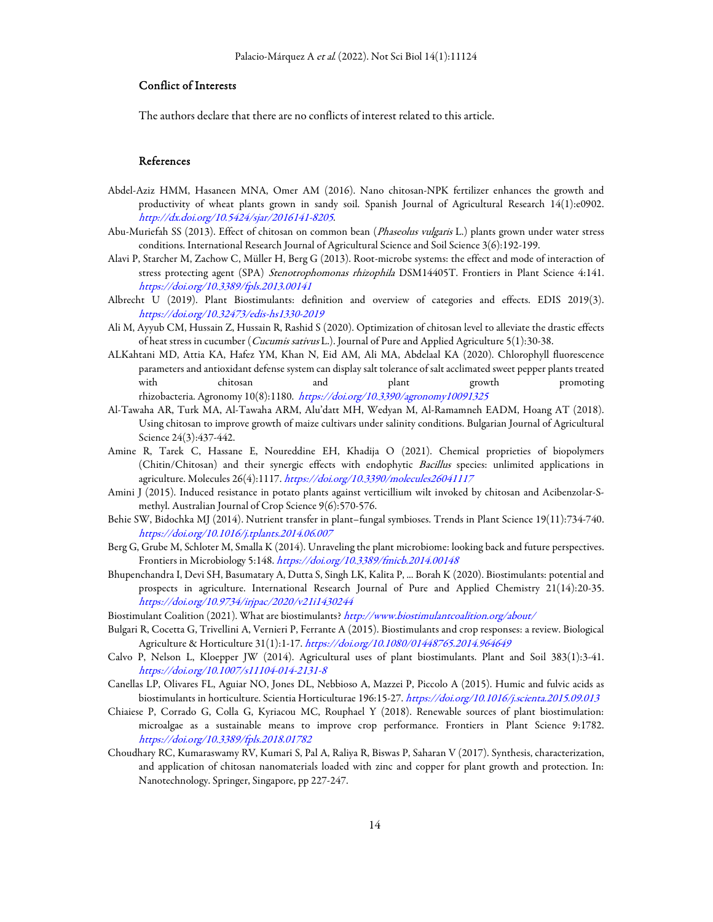### Conflict of Interests

The authors declare that there are no conflicts of interest related to this article.

# References

- Abdel-Aziz HMM, Hasaneen MNA, Omer AM (2016). Nano chitosan-NPK fertilizer enhances the growth and productivity of wheat plants grown in sandy soil. Spanish Journal of Agricultural Research 14(1):e0902. http://dx.doi.org/10.5424/sjar/2016141-8205.
- Abu-Muriefah SS (2013). Effect of chitosan on common bean (Phaseolus vulgaris L.) plants grown under water stress conditions. International Research Journal of Agricultural Science and Soil Science 3(6):192-199.
- Alavi P, Starcher M, Zachow C, Müller H, Berg G (2013). Root-microbe systems: the effect and mode of interaction of stress protecting agent (SPA) Stenotrophomonas rhizophila DSM14405T. Frontiers in Plant Science 4:141. https://doi.org/10.3389/fpls.2013.00141
- Albrecht U (2019). Plant Biostimulants: definition and overview of categories and effects. EDIS 2019(3). https://doi.org/10.32473/edis-hs1330-2019
- Ali M, Ayyub CM, Hussain Z, Hussain R, Rashid S (2020). Optimization of chitosan level to alleviate the drastic effects of heat stress in cucumber (Cucumis sativus L.). Journal of Pure and Applied Agriculture 5(1):30-38.
- ALKahtani MD, Attia KA, Hafez YM, Khan N, Eid AM, Ali MA, Abdelaal KA (2020). Chlorophyll fluorescence parameters and antioxidant defense system can display salt tolerance of salt acclimated sweet pepper plants treated with chitosan and plant growth promoting rhizobacteria. Agronomy 10(8):1180. https://doi.org/10.3390/agronomy10091325
- Al-Tawaha AR, Turk MA, Al-Tawaha ARM, Alu'datt MH, Wedyan M, Al-Ramamneh EADM, Hoang AT (2018). Using chitosan to improve growth of maize cultivars under salinity conditions. Bulgarian Journal of Agricultural Science 24(3):437-442.
- Amine R, Tarek C, Hassane E, Noureddine EH, Khadija O (2021). Chemical proprieties of biopolymers (Chitin/Chitosan) and their synergic effects with endophytic Bacillus species: unlimited applications in agriculture. Molecules 26(4):1117. https://doi.org/10.3390/molecules26041117
- Amini J (2015). Induced resistance in potato plants against verticillium wilt invoked by chitosan and Acibenzolar-Smethyl. Australian Journal of Crop Science 9(6):570-576.
- Behie SW, Bidochka MJ (2014). Nutrient transfer in plant–fungal symbioses. Trends in Plant Science 19(11):734-740. https://doi.org/10.1016/j.tplants.2014.06.007
- Berg G, Grube M, Schloter M, Smalla K (2014). Unraveling the plant microbiome: looking back and future perspectives. Frontiers in Microbiology 5:148. https://doi.org/10.3389/fmicb.2014.00148
- Bhupenchandra I, Devi SH, Basumatary A, Dutta S, Singh LK, Kalita P, ... Borah K (2020). Biostimulants: potential and prospects in agriculture. International Research Journal of Pure and Applied Chemistry 21(14):20-35. https://doi.org/10.9734/irjpac/2020/v21i1430244
- Biostimulant Coalition (2021). What are biostimulants? http://www.biostimulantcoalition.org/about/
- Bulgari R, Cocetta G, Trivellini A, Vernieri P, Ferrante A (2015). Biostimulants and crop responses: a review. Biological Agriculture & Horticulture 31(1):1-17. https://doi.org/10.1080/01448765.2014.964649
- Calvo P, Nelson L, Kloepper JW (2014). Agricultural uses of plant biostimulants. Plant and Soil 383(1):3-41. https://doi.org/10.1007/s11104-014-2131-8
- Canellas LP, Olivares FL, Aguiar NO, Jones DL, Nebbioso A, Mazzei P, Piccolo A (2015). Humic and fulvic acids as biostimulants in horticulture. Scientia Horticulturae 196:15-27. https://doi.org/10.1016/j.scienta.2015.09.013
- Chiaiese P, Corrado G, Colla G, Kyriacou MC, Rouphael Y (2018). Renewable sources of plant biostimulation: microalgae as a sustainable means to improve crop performance. Frontiers in Plant Science 9:1782. https://doi.org/10.3389/fpls.2018.01782
- Choudhary RC, Kumaraswamy RV, Kumari S, Pal A, Raliya R, Biswas P, Saharan V (2017). Synthesis, characterization, and application of chitosan nanomaterials loaded with zinc and copper for plant growth and protection. In: Nanotechnology. Springer, Singapore, pp 227-247.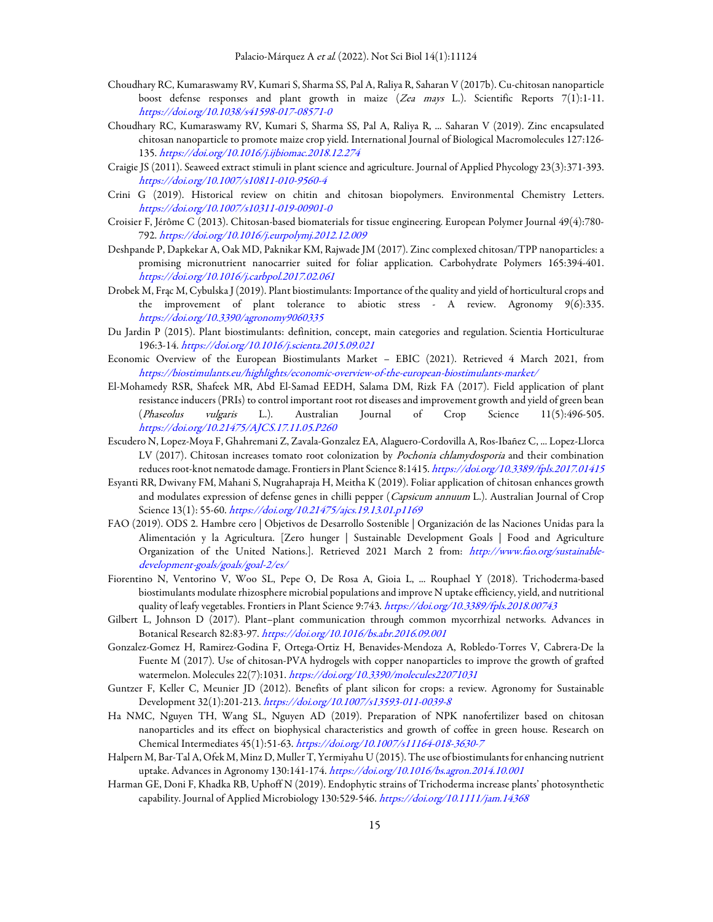- Choudhary RC, Kumaraswamy RV, Kumari S, Sharma SS, Pal A, Raliya R, Saharan V (2017b). Cu-chitosan nanoparticle boost defense responses and plant growth in maize (Zea mays L.). Scientific Reports 7(1):1-11. https://doi.org/10.1038/s41598-017-08571-0
- Choudhary RC, Kumaraswamy RV, Kumari S, Sharma SS, Pal A, Raliya R, ... Saharan V (2019). Zinc encapsulated chitosan nanoparticle to promote maize crop yield. International Journal of Biological Macromolecules 127:126- 135. https://doi.org/10.1016/j.ijbiomac.2018.12.274
- Craigie JS (2011). Seaweed extract stimuli in plant science and agriculture. Journal of Applied Phycology 23(3):371-393. https://doi.org/10.1007/s10811-010-9560-4
- Crini G (2019). Historical review on chitin and chitosan biopolymers. Environmental Chemistry Letters. https://doi.org/10.1007/s10311-019-00901-0
- Croisier F, Jérôme C (2013). Chitosan-based biomaterials for tissue engineering. European Polymer Journal 49(4):780- 792. https://doi.org/10.1016/j.eurpolymj.2012.12.009
- Deshpande P, Dapkekar A, Oak MD, Paknikar KM, Rajwade JM (2017). Zinc complexed chitosan/TPP nanoparticles: a promising micronutrient nanocarrier suited for foliar application. Carbohydrate Polymers 165:394-401. https://doi.org/10.1016/j.carbpol.2017.02.061
- Drobek M, Frąc M, Cybulska J (2019). Plant biostimulants: Importance of the quality and yield of horticultural crops and the improvement of plant tolerance to abiotic stress - A review. Agronomy  $9(6):335$ . https://doi.org/10.3390/agronomy9060335
- Du Jardin P (2015). Plant biostimulants: definition, concept, main categories and regulation. Scientia Horticulturae 196:3-14. https://doi.org/10.1016/j.scienta.2015.09.021
- Economic Overview of the European Biostimulants Market EBIC (2021). Retrieved 4 March 2021, from https://biostimulants.eu/highlights/economic-overview-of-the-european-biostimulants-market/
- El-Mohamedy RSR, Shafeek MR, Abd El-Samad EEDH, Salama DM, Rizk FA (2017). Field application of plant resistance inducers (PRIs) to control important root rot diseases and improvement growth and yield of green bean (Phaseolus vulgaris L.). Australian Journal of Crop Science 11(5):496-505. https://doi.org/10.21475/AJCS.17.11.05.P260
- Escudero N, Lopez-Moya F, Ghahremani Z, Zavala-Gonzalez EA, Alaguero-Cordovilla A, Ros-Ibañez C, ... Lopez-Llorca LV (2017). Chitosan increases tomato root colonization by *Pochonia chlamydosporia* and their combination reduces root-knot nematode damage. Frontiers in Plant Science 8:1415. https://doi.org/10.3389/fpls.2017.01415
- Esyanti RR, Dwivany FM, Mahani S, Nugrahapraja H, Meitha K (2019). Foliar application of chitosan enhances growth and modulates expression of defense genes in chilli pepper (Capsicum annuum L.). Australian Journal of Crop Science 13(1): 55-60. https://doi.org/10.21475/ajcs.19.13.01.p1169
- FAO (2019). ODS 2. Hambre cero | Objetivos de Desarrollo Sostenible | Organización de las Naciones Unidas para la Alimentación y la Agricultura. [Zero hunger | Sustainable Development Goals | Food and Agriculture Organization of the United Nations.]. Retrieved 2021 March 2 from: http://www.fao.org/sustainabledevelopment-goals/goals/goal-2/es/
- Fiorentino N, Ventorino V, Woo SL, Pepe O, De Rosa A, Gioia L, ... Rouphael Y (2018). Trichoderma-based biostimulants modulate rhizosphere microbial populations and improve N uptake efficiency, yield, and nutritional quality of leafy vegetables. Frontiers in Plant Science 9:743. https://doi.org/10.3389/fpls.2018.00743
- Gilbert L, Johnson D (2017). Plant–plant communication through common mycorrhizal networks. Advances in Botanical Research 82:83-97. https://doi.org/10.1016/bs.abr.2016.09.001
- Gonzalez-Gomez H, Ramirez-Godina F, Ortega-Ortiz H, Benavides-Mendoza A, Robledo-Torres V, Cabrera-De la Fuente M (2017). Use of chitosan-PVA hydrogels with copper nanoparticles to improve the growth of grafted watermelon. Molecules 22(7):1031. https://doi.org/10.3390/molecules22071031
- Guntzer F, Keller C, Meunier JD (2012). Benefits of plant silicon for crops: a review. Agronomy for Sustainable Development 32(1):201-213. https://doi.org/10.1007/s13593-011-0039-8
- Ha NMC, Nguyen TH, Wang SL, Nguyen AD (2019). Preparation of NPK nanofertilizer based on chitosan nanoparticles and its effect on biophysical characteristics and growth of coffee in green house. Research on Chemical Intermediates 45(1):51-63. https://doi.org/10.1007/s11164-018-3630-7
- Halpern M, Bar-Tal A, Ofek M, Minz D, Muller T, Yermiyahu U (2015). The use of biostimulants for enhancing nutrient uptake. Advances in Agronomy 130:141-174. https://doi.org/10.1016/bs.agron.2014.10.001
- Harman GE, Doni F, Khadka RB, Uphoff N (2019). Endophytic strains of Trichoderma increase plants' photosynthetic capability. Journal of Applied Microbiology 130:529-546. https://doi.org/10.1111/jam.14368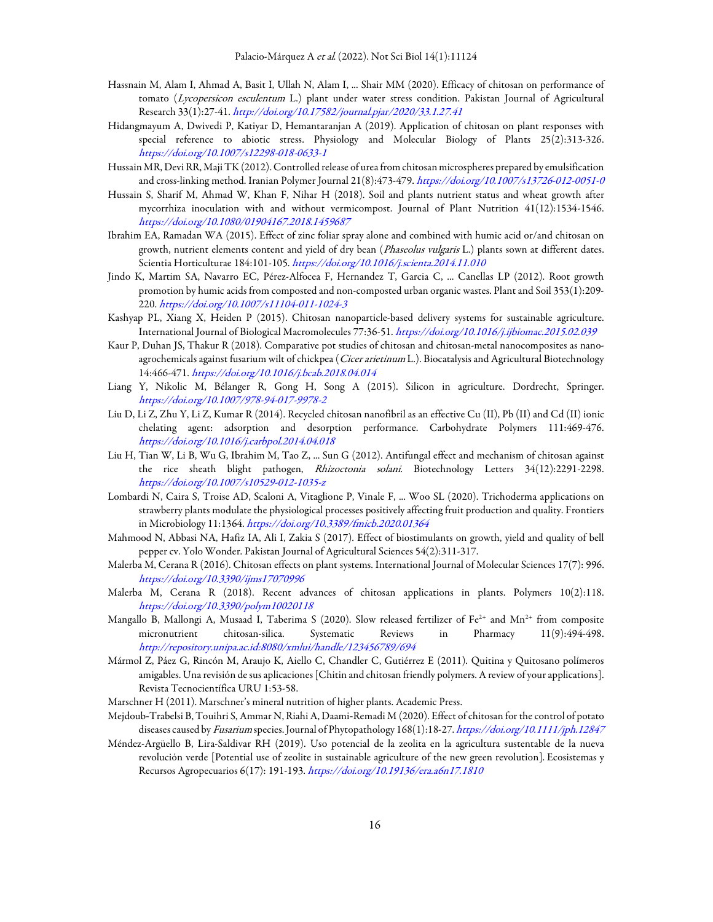- Hassnain M, Alam I, Ahmad A, Basit I, Ullah N, Alam I, ... Shair MM (2020). Efficacy of chitosan on performance of tomato (Lycopersicon esculentum L.) plant under water stress condition. Pakistan Journal of Agricultural Research 33(1):27-41. http://doi.org/10.17582/journal.pjar/2020/33.1.27.41
- Hidangmayum A, Dwivedi P, Katiyar D, Hemantaranjan A (2019). Application of chitosan on plant responses with special reference to abiotic stress. Physiology and Molecular Biology of Plants 25(2):313-326. https://doi.org/10.1007/s12298-018-0633-1
- Hussain MR, Devi RR, Maji TK (2012). Controlled release of urea from chitosan microspheres prepared by emulsification and cross-linking method. Iranian Polymer Journal 21(8):473-479. https://doi.org/10.1007/s13726-012-0051-0
- Hussain S, Sharif M, Ahmad W, Khan F, Nihar H (2018). Soil and plants nutrient status and wheat growth after mycorrhiza inoculation with and without vermicompost. Journal of Plant Nutrition 41(12):1534-1546. https://doi.org/10.1080/01904167.2018.1459687
- Ibrahim EA, Ramadan WA (2015). Effect of zinc foliar spray alone and combined with humic acid or/and chitosan on growth, nutrient elements content and yield of dry bean (Phaseolus vulgaris L.) plants sown at different dates. Scientia Horticulturae 184:101-105. https://doi.org/10.1016/j.scienta.2014.11.010
- Jindo K, Martim SA, Navarro EC, Pérez-Alfocea F, Hernandez T, Garcia C, ... Canellas LP (2012). Root growth promotion by humic acids from composted and non-composted urban organic wastes. Plant and Soil 353(1):209- 220. https://doi.org/10.1007/s11104-011-1024-3
- Kashyap PL, Xiang X, Heiden P (2015). Chitosan nanoparticle-based delivery systems for sustainable agriculture. International Journal of Biological Macromolecules 77:36-51. https://doi.org/10.1016/j.ijbiomac.2015.02.039
- Kaur P, Duhan JS, Thakur R (2018). Comparative pot studies of chitosan and chitosan-metal nanocomposites as nanoagrochemicals against fusarium wilt of chickpea (Cicer arietinum L.). Biocatalysis and Agricultural Biotechnology 14:466-471. https://doi.org/10.1016/j.bcab.2018.04.014
- Liang Y, Nikolic M, Bélanger R, Gong H, Song A (2015). Silicon in agriculture. Dordrecht, Springer. https://doi.org/10.1007/978-94-017-9978-2
- Liu D, Li Z, Zhu Y, Li Z, Kumar R (2014). Recycled chitosan nanofibril as an effective Cu (II), Pb (II) and Cd (II) ionic chelating agent: adsorption and desorption performance. Carbohydrate Polymers 111:469-476. https://doi.org/10.1016/j.carbpol.2014.04.018
- Liu H, Tian W, Li B, Wu G, Ibrahim M, Tao Z, ... Sun G (2012). Antifungal effect and mechanism of chitosan against the rice sheath blight pathogen, Rhizoctonia solani. Biotechnology Letters 34(12):2291-2298. https://doi.org/10.1007/s10529-012-1035-z
- Lombardi N, Caira S, Troise AD, Scaloni A, Vitaglione P, Vinale F, ... Woo SL (2020). Trichoderma applications on strawberry plants modulate the physiological processes positively affecting fruit production and quality. Frontiers in Microbiology 11:1364. https://doi.org/10.3389/fmicb.2020.01364
- Mahmood N, Abbasi NA, Hafiz IA, Ali I, Zakia S (2017). Effect of biostimulants on growth, yield and quality of bell pepper cv. Yolo Wonder. Pakistan Journal of Agricultural Sciences 54(2):311-317.
- Malerba M, Cerana R (2016). Chitosan effects on plant systems. International Journal of Molecular Sciences 17(7): 996. https://doi.org/10.3390/ijms17070996
- Malerba M, Cerana R (2018). Recent advances of chitosan applications in plants. Polymers 10(2):118. https://doi.org/10.3390/polym10020118
- Mangallo B, Mallongi A, Musaad I, Taberima S (2020). Slow released fertilizer of  $Fe^{2+}$  and Mn<sup>2+</sup> from composite micronutrient chitosan-silica. Systematic Reviews in Pharmacy 11(9):494-498. http://repository.unipa.ac.id:8080/xmlui/handle/123456789/694
- Mármol Z, Páez G, Rincón M, Araujo K, Aiello C, Chandler C, Gutiérrez E (2011). Quitina y Quitosano polímeros amigables. Una revisión de sus aplicaciones [Chitin and chitosan friendly polymers. A review of your applications]. Revista Tecnocientífica URU 1:53-58.
- Marschner H (2011). Marschner's mineral nutrition of higher plants. Academic Press.
- Mejdoub‐Trabelsi B, Touihri S, Ammar N, Riahi A, Daami‐Remadi M (2020). Effect of chitosan for the control of potato diseases caused by Fusarium species. Journal of Phytopathology 168(1):18-27. https://doi.org/10.1111/jph.12847
- Méndez-Argüello B, Lira-Saldivar RH (2019). Uso potencial de la zeolita en la agricultura sustentable de la nueva revolución verde [Potential use of zeolite in sustainable agriculture of the new green revolution]. Ecosistemas y Recursos Agropecuarios 6(17): 191-193. https://doi.org/10.19136/era.a6n17.1810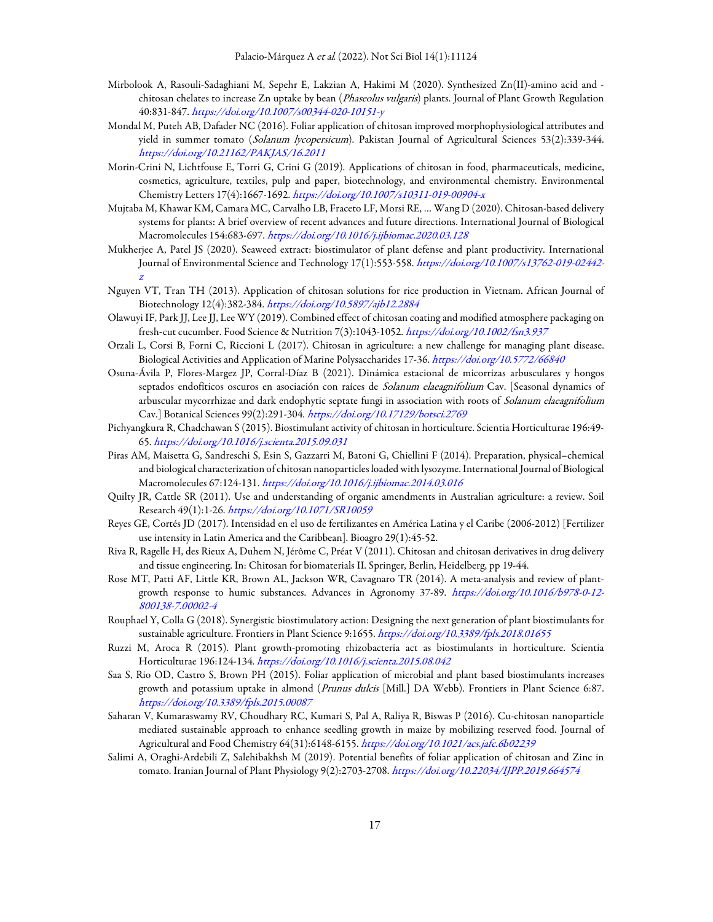- Mirbolook A, Rasouli-Sadaghiani M, Sepehr E, Lakzian A, Hakimi M (2020). Synthesized Zn(II)-amino acid and chitosan chelates to increase Zn uptake by bean (*Phaseolus vulgaris*) plants. Journal of Plant Growth Regulation 40:831-847. https://doi.org/10.1007/s00344-020-10151-y
- Mondal M, Puteh AB, Dafader NC (2016). Foliar application of chitosan improved morphophysiological attributes and yield in summer tomato (Solanum lycopersicum). Pakistan Journal of Agricultural Sciences 53(2):339-344. https://doi.org/10.21162/PAKJAS/16.2011
- Morin-Crini N, Lichtfouse E, Torri G, Crini G (2019). Applications of chitosan in food, pharmaceuticals, medicine, cosmetics, agriculture, textiles, pulp and paper, biotechnology, and environmental chemistry. Environmental Chemistry Letters 17(4):1667-1692. https://doi.org/10.1007/s10311-019-00904-x
- Mujtaba M, Khawar KM, Camara MC, Carvalho LB, Fraceto LF, Morsi RE, … Wang D (2020). Chitosan-based delivery systems for plants: A brief overview of recent advances and future directions. International Journal of Biological Macromolecules 154:683-697. https://doi.org/10.1016/j.ijbiomac.2020.03.128
- Mukherjee A, Patel JS (2020). Seaweed extract: biostimulator of plant defense and plant productivity. International Journal of Environmental Science and Technology 17(1):553-558. https://doi.org/10.1007/s13762-019-02442 z
- Nguyen VT, Tran TH (2013). Application of chitosan solutions for rice production in Vietnam. African Journal of Biotechnology 12(4):382-384. https://doi.org/10.5897/ajb12.2884
- Olawuyi IF, Park JJ, Lee JJ, Lee WY (2019). Combined effect of chitosan coating and modified atmosphere packaging on fresh-cut cucumber. Food Science & Nutrition 7(3):1043-1052. https://doi.org/10.1002/fsn3.937
- Orzali L, Corsi B, Forni C, Riccioni L (2017). Chitosan in agriculture: a new challenge for managing plant disease. Biological Activities and Application of Marine Polysaccharides 17-36. https://doi.org/10.5772/66840
- Osuna-Ávila P, Flores-Margez JP, Corral-Díaz B (2021). Dinámica estacional de micorrizas arbusculares y hongos septados endofíticos oscuros en asociación con raíces de *Solanum elaeagnifolium* Cav. [Seasonal dynamics of arbuscular mycorrhizae and dark endophytic septate fungi in association with roots of Solanum elaeagnifolium Cav.] Botanical Sciences 99(2):291-304. https://doi.org/10.17129/botsci.2769
- Pichyangkura R, Chadchawan S (2015). Biostimulant activity of chitosan in horticulture. Scientia Horticulturae 196:49- 65. https://doi.org/10.1016/j.scienta.2015.09.031
- Piras AM, Maisetta G, Sandreschi S, Esin S, Gazzarri M, Batoni G, Chiellini F (2014). Preparation, physical–chemical and biological characterization of chitosan nanoparticles loaded with lysozyme. International Journal of Biological Macromolecules 67:124-131. https://doi.org/10.1016/j.ijbiomac.2014.03.016
- Quilty JR, Cattle SR (2011). Use and understanding of organic amendments in Australian agriculture: a review. Soil Research 49(1):1-26. https://doi.org/10.1071/SR10059
- Reyes GE, Cortés JD (2017). Intensidad en el uso de fertilizantes en América Latina y el Caribe (2006-2012) [Fertilizer use intensity in Latin America and the Caribbean]. Bioagro 29(1):45-52.
- Riva R, Ragelle H, des Rieux A, Duhem N, Jérôme C, Préat V (2011). Chitosan and chitosan derivatives in drug delivery and tissue engineering. In: Chitosan for biomaterials II. Springer, Berlin, Heidelberg, pp 19-44.
- Rose MT, Patti AF, Little KR, Brown AL, Jackson WR, Cavagnaro TR (2014). A meta-analysis and review of plantgrowth response to humic substances. Advances in Agronomy 37-89. https://doi.org/10.1016/b978-0-12- 800138-7.00002-4
- Rouphael Y, Colla G (2018). Synergistic biostimulatory action: Designing the next generation of plant biostimulants for sustainable agriculture. Frontiers in Plant Science 9:1655. https://doi.org/10.3389/fpls.2018.01655
- Ruzzi M, Aroca R (2015). Plant growth-promoting rhizobacteria act as biostimulants in horticulture. Scientia Horticulturae 196:124-134. https://doi.org/10.1016/j.scienta.2015.08.042
- Saa S, Rio OD, Castro S, Brown PH (2015). Foliar application of microbial and plant based biostimulants increases growth and potassium uptake in almond (Prunus dulcis [Mill.] DA Webb). Frontiers in Plant Science 6:87. https://doi.org/10.3389/fpls.2015.00087
- Saharan V, Kumaraswamy RV, Choudhary RC, Kumari S, Pal A, Raliya R, Biswas P (2016). Cu-chitosan nanoparticle mediated sustainable approach to enhance seedling growth in maize by mobilizing reserved food. Journal of Agricultural and Food Chemistry 64(31):6148-6155. https://doi.org/10.1021/acs.jafc.6b02239
- Salimi A, Oraghi-Ardebili Z, Salehibakhsh M (2019). Potential benefits of foliar application of chitosan and Zinc in tomato. Iranian Journal of Plant Physiology 9(2):2703-2708. https://doi.org/10.22034/IJPP.2019.664574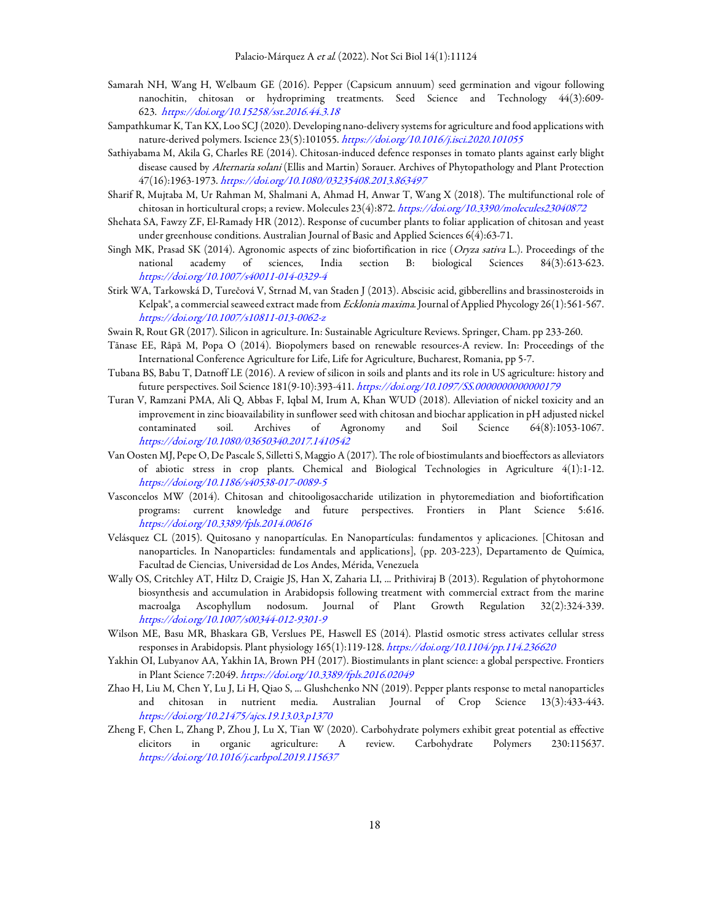- Samarah NH, Wang H, Welbaum GE (2016). Pepper (Capsicum annuum) seed germination and vigour following nanochitin, chitosan or hydropriming treatments. Seed Science and Technology 44(3):609- 623. https://doi.org/10.15258/sst.2016.44.3.18
- Sampathkumar K, Tan KX, Loo SCJ (2020). Developing nano-delivery systems for agriculture and food applications with nature-derived polymers. Iscience 23(5):101055. https://doi.org/10.1016/j.isci.2020.101055
- Sathiyabama M, Akila G, Charles RE (2014). Chitosan-induced defence responses in tomato plants against early blight disease caused by Alternaria solani (Ellis and Martin) Sorauer. Archives of Phytopathology and Plant Protection 47(16):1963-1973. https://doi.org/10.1080/03235408.2013.863497
- Sharif R, Mujtaba M, Ur Rahman M, Shalmani A, Ahmad H, Anwar T, Wang X (2018). The multifunctional role of chitosan in horticultural crops; a review. Molecules 23(4):872. https://doi.org/10.3390/molecules23040872
- Shehata SA, Fawzy ZF, El-Ramady HR (2012). Response of cucumber plants to foliar application of chitosan and yeast under greenhouse conditions. Australian Journal of Basic and Applied Sciences 6(4):63-71.
- Singh MK, Prasad SK (2014). Agronomic aspects of zinc biofortification in rice (Oryza sativa L.). Proceedings of the national academy of sciences, India section B: biological Sciences 84(3):613-623. https://doi.org/10.1007/s40011-014-0329-4
- Stirk WA, Tarkowská D, Turečová V, Strnad M, van Staden J (2013). Abscisic acid, gibberellins and brassinosteroids in Kelpak®, a commercial seaweed extract made from *Ecklonia maxima*. Journal of Applied Phycology 26(1):561-567. https://doi.org/10.1007/s10811-013-0062-z
- Swain R, Rout GR (2017). Silicon in agriculture. In: Sustainable Agriculture Reviews. Springer, Cham. pp 233-260.
- Tănase EE, Râpă M, Popa O (2014). Biopolymers based on renewable resources-A review. In: Proceedings of the International Conference Agriculture for Life, Life for Agriculture, Bucharest, Romania, pp 5-7.
- Tubana BS, Babu T, Datnoff LE (2016). A review of silicon in soils and plants and its role in US agriculture: history and future perspectives. Soil Science 181(9-10):393-411. https://doi.org/10.1097/SS.0000000000000179
- Turan V, Ramzani PMA, Ali Q, Abbas F, Iqbal M, Irum A, Khan WUD (2018). Alleviation of nickel toxicity and an improvement in zinc bioavailability in sunflower seed with chitosan and biochar application in pH adjusted nickel contaminated soil. Archives of Agronomy and Soil Science 64(8):1053-1067. https://doi.org/10.1080/03650340.2017.1410542
- Van Oosten MJ, Pepe O, De Pascale S, Silletti S, Maggio A (2017). The role of biostimulants and bioeffectors as alleviators of abiotic stress in crop plants. Chemical and Biological Technologies in Agriculture 4(1):1-12. https://doi.org/10.1186/s40538-017-0089-5
- Vasconcelos MW (2014). Chitosan and chitooligosaccharide utilization in phytoremediation and biofortification programs: current knowledge and future perspectives. Frontiers in Plant Science 5:616. https://doi.org/10.3389/fpls.2014.00616
- Velásquez CL (2015). Quitosano y nanopartículas. En Nanopartículas: fundamentos y aplicaciones. [Chitosan and nanoparticles. In Nanoparticles: fundamentals and applications], (pp. 203-223), Departamento de Química, Facultad de Ciencias, Universidad de Los Andes, Mérida, Venezuela
- Wally OS, Critchley AT, Hiltz D, Craigie JS, Han X, Zaharia LI, ... Prithiviraj B (2013). Regulation of phytohormone biosynthesis and accumulation in Arabidopsis following treatment with commercial extract from the marine macroalga Ascophyllum nodosum. Journal of Plant Growth Regulation 32(2):324-339. https://doi.org/10.1007/s00344-012-9301-9
- Wilson ME, Basu MR, Bhaskara GB, Verslues PE, Haswell ES (2014). Plastid osmotic stress activates cellular stress responses in Arabidopsis. Plant physiology 165(1):119-128. https://doi.org/10.1104/pp.114.236620
- Yakhin OI, Lubyanov AA, Yakhin IA, Brown PH (2017). Biostimulants in plant science: a global perspective. Frontiers in Plant Science 7:2049. https://doi.org/10.3389/fpls.2016.02049
- Zhao H, Liu M, Chen Y, Lu J, Li H, Qiao S, ... Glushchenko NN (2019). Pepper plants response to metal nanoparticles and chitosan in nutrient media. Australian Journal of Crop Science 13(3):433-443. https://doi.org/10.21475/ajcs.19.13.03.p1370
- Zheng F, Chen L, Zhang P, Zhou J, Lu X, Tian W (2020). Carbohydrate polymers exhibit great potential as effective elicitors in organic agriculture: A review. Carbohydrate Polymers 230:115637. https://doi.org/10.1016/j.carbpol.2019.115637